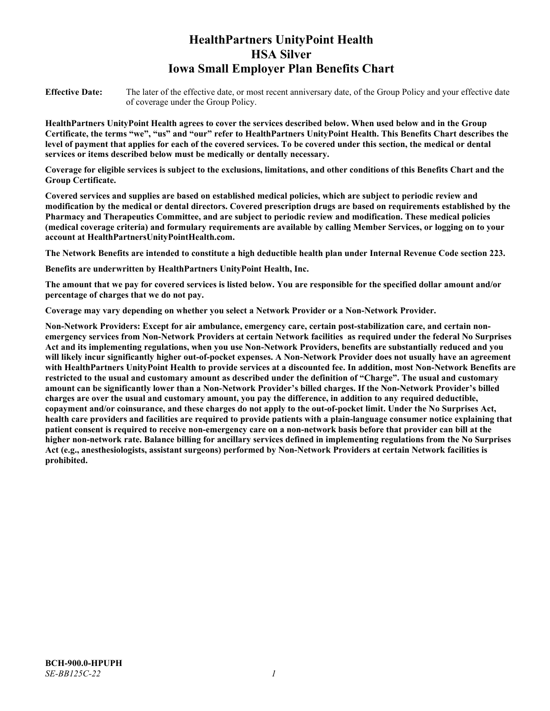# **HealthPartners UnityPoint Health HSA Silver Iowa Small Employer Plan Benefits Chart**

**Effective Date:** The later of the effective date, or most recent anniversary date, of the Group Policy and your effective date of coverage under the Group Policy.

**HealthPartners UnityPoint Health agrees to cover the services described below. When used below and in the Group Certificate, the terms "we", "us" and "our" refer to HealthPartners UnityPoint Health. This Benefits Chart describes the level of payment that applies for each of the covered services. To be covered under this section, the medical or dental services or items described below must be medically or dentally necessary.**

**Coverage for eligible services is subject to the exclusions, limitations, and other conditions of this Benefits Chart and the Group Certificate.** 

**Covered services and supplies are based on established medical policies, which are subject to periodic review and modification by the medical or dental directors. Covered prescription drugs are based on requirements established by the Pharmacy and Therapeutics Committee, and are subject to periodic review and modification. These medical policies (medical coverage criteria) and formulary requirements are available by calling Member Services, or logging on to your account at [HealthPartnersUnityPointHealth.com.](https://www.healthpartnersunitypointhealth.com/)**

**The Network Benefits are intended to constitute a high deductible health plan under Internal Revenue Code section 223.**

**Benefits are underwritten by HealthPartners UnityPoint Health, Inc.**

**The amount that we pay for covered services is listed below. You are responsible for the specified dollar amount and/or percentage of charges that we do not pay.**

**Coverage may vary depending on whether you select a Network Provider or a Non-Network Provider.**

**Non-Network Providers: Except for air ambulance, emergency care, certain post-stabilization care, and certain nonemergency services from Non-Network Providers at certain Network facilities as required under the federal No Surprises Act and its implementing regulations, when you use Non-Network Providers, benefits are substantially reduced and you will likely incur significantly higher out-of-pocket expenses. A Non-Network Provider does not usually have an agreement with HealthPartners UnityPoint Health to provide services at a discounted fee. In addition, most Non-Network Benefits are restricted to the usual and customary amount as described under the definition of "Charge". The usual and customary amount can be significantly lower than a Non-Network Provider's billed charges. If the Non-Network Provider's billed charges are over the usual and customary amount, you pay the difference, in addition to any required deductible, copayment and/or coinsurance, and these charges do not apply to the out-of-pocket limit. Under the No Surprises Act, health care providers and facilities are required to provide patients with a plain-language consumer notice explaining that patient consent is required to receive non-emergency care on a non-network basis before that provider can bill at the higher non-network rate. Balance billing for ancillary services defined in implementing regulations from the No Surprises Act (e.g., anesthesiologists, assistant surgeons) performed by Non-Network Providers at certain Network facilities is prohibited.**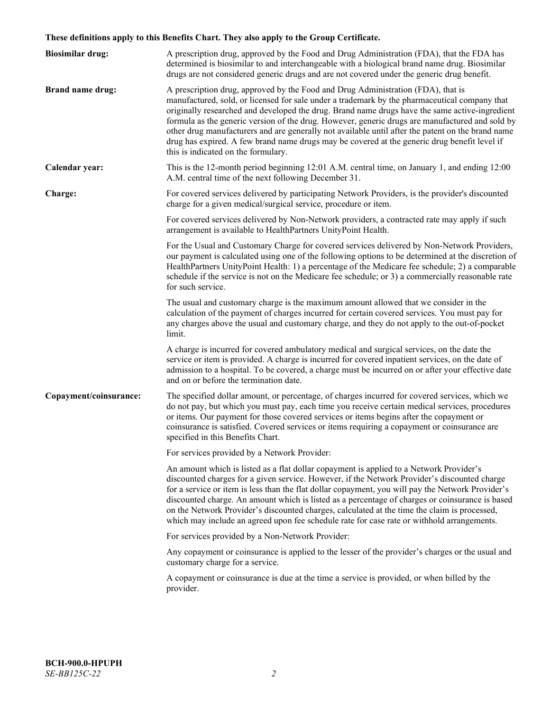# **These definitions apply to this Benefits Chart. They also apply to the Group Certificate.**

| <b>Biosimilar drug:</b> | A prescription drug, approved by the Food and Drug Administration (FDA), that the FDA has<br>determined is biosimilar to and interchangeable with a biological brand name drug. Biosimilar<br>drugs are not considered generic drugs and are not covered under the generic drug benefit.                                                                                                                                                                                                                                                                                                                                           |
|-------------------------|------------------------------------------------------------------------------------------------------------------------------------------------------------------------------------------------------------------------------------------------------------------------------------------------------------------------------------------------------------------------------------------------------------------------------------------------------------------------------------------------------------------------------------------------------------------------------------------------------------------------------------|
| <b>Brand name drug:</b> | A prescription drug, approved by the Food and Drug Administration (FDA), that is<br>manufactured, sold, or licensed for sale under a trademark by the pharmaceutical company that<br>originally researched and developed the drug. Brand name drugs have the same active-ingredient<br>formula as the generic version of the drug. However, generic drugs are manufactured and sold by<br>other drug manufacturers and are generally not available until after the patent on the brand name<br>drug has expired. A few brand name drugs may be covered at the generic drug benefit level if<br>this is indicated on the formulary. |
| Calendar year:          | This is the 12-month period beginning 12:01 A.M. central time, on January 1, and ending 12:00<br>A.M. central time of the next following December 31.                                                                                                                                                                                                                                                                                                                                                                                                                                                                              |
| Charge:                 | For covered services delivered by participating Network Providers, is the provider's discounted<br>charge for a given medical/surgical service, procedure or item.                                                                                                                                                                                                                                                                                                                                                                                                                                                                 |
|                         | For covered services delivered by Non-Network providers, a contracted rate may apply if such<br>arrangement is available to HealthPartners UnityPoint Health.                                                                                                                                                                                                                                                                                                                                                                                                                                                                      |
|                         | For the Usual and Customary Charge for covered services delivered by Non-Network Providers,<br>our payment is calculated using one of the following options to be determined at the discretion of<br>HealthPartners UnityPoint Health: 1) a percentage of the Medicare fee schedule; 2) a comparable<br>schedule if the service is not on the Medicare fee schedule; or 3) a commercially reasonable rate<br>for such service.                                                                                                                                                                                                     |
|                         | The usual and customary charge is the maximum amount allowed that we consider in the<br>calculation of the payment of charges incurred for certain covered services. You must pay for<br>any charges above the usual and customary charge, and they do not apply to the out-of-pocket<br>limit.                                                                                                                                                                                                                                                                                                                                    |
|                         | A charge is incurred for covered ambulatory medical and surgical services, on the date the<br>service or item is provided. A charge is incurred for covered inpatient services, on the date of<br>admission to a hospital. To be covered, a charge must be incurred on or after your effective date<br>and on or before the termination date.                                                                                                                                                                                                                                                                                      |
| Copayment/coinsurance:  | The specified dollar amount, or percentage, of charges incurred for covered services, which we<br>do not pay, but which you must pay, each time you receive certain medical services, procedures<br>or items. Our payment for those covered services or items begins after the copayment or<br>coinsurance is satisfied. Covered services or items requiring a copayment or coinsurance are<br>specified in this Benefits Chart.                                                                                                                                                                                                   |
|                         | For services provided by a Network Provider:                                                                                                                                                                                                                                                                                                                                                                                                                                                                                                                                                                                       |
|                         | An amount which is listed as a flat dollar copayment is applied to a Network Provider's<br>discounted charges for a given service. However, if the Network Provider's discounted charge<br>for a service or item is less than the flat dollar copayment, you will pay the Network Provider's<br>discounted charge. An amount which is listed as a percentage of charges or coinsurance is based<br>on the Network Provider's discounted charges, calculated at the time the claim is processed,<br>which may include an agreed upon fee schedule rate for case rate or withhold arrangements.                                      |
|                         | For services provided by a Non-Network Provider:                                                                                                                                                                                                                                                                                                                                                                                                                                                                                                                                                                                   |
|                         | Any copayment or coinsurance is applied to the lesser of the provider's charges or the usual and<br>customary charge for a service.                                                                                                                                                                                                                                                                                                                                                                                                                                                                                                |
|                         | A copayment or coinsurance is due at the time a service is provided, or when billed by the<br>provider.                                                                                                                                                                                                                                                                                                                                                                                                                                                                                                                            |
|                         |                                                                                                                                                                                                                                                                                                                                                                                                                                                                                                                                                                                                                                    |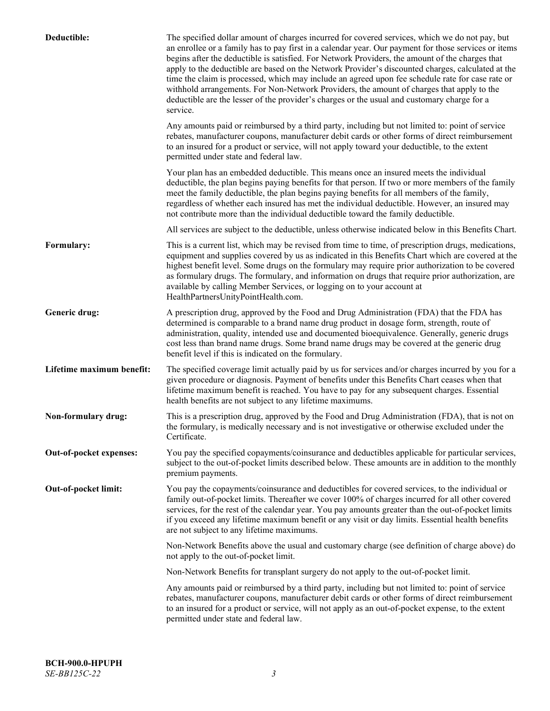| Deductible:               | The specified dollar amount of charges incurred for covered services, which we do not pay, but<br>an enrollee or a family has to pay first in a calendar year. Our payment for those services or items<br>begins after the deductible is satisfied. For Network Providers, the amount of the charges that<br>apply to the deductible are based on the Network Provider's discounted charges, calculated at the<br>time the claim is processed, which may include an agreed upon fee schedule rate for case rate or<br>withhold arrangements. For Non-Network Providers, the amount of charges that apply to the<br>deductible are the lesser of the provider's charges or the usual and customary charge for a<br>service. |
|---------------------------|----------------------------------------------------------------------------------------------------------------------------------------------------------------------------------------------------------------------------------------------------------------------------------------------------------------------------------------------------------------------------------------------------------------------------------------------------------------------------------------------------------------------------------------------------------------------------------------------------------------------------------------------------------------------------------------------------------------------------|
|                           | Any amounts paid or reimbursed by a third party, including but not limited to: point of service<br>rebates, manufacturer coupons, manufacturer debit cards or other forms of direct reimbursement<br>to an insured for a product or service, will not apply toward your deductible, to the extent<br>permitted under state and federal law.                                                                                                                                                                                                                                                                                                                                                                                |
|                           | Your plan has an embedded deductible. This means once an insured meets the individual<br>deductible, the plan begins paying benefits for that person. If two or more members of the family<br>meet the family deductible, the plan begins paying benefits for all members of the family,<br>regardless of whether each insured has met the individual deductible. However, an insured may<br>not contribute more than the individual deductible toward the family deductible.                                                                                                                                                                                                                                              |
|                           | All services are subject to the deductible, unless otherwise indicated below in this Benefits Chart.                                                                                                                                                                                                                                                                                                                                                                                                                                                                                                                                                                                                                       |
| Formulary:                | This is a current list, which may be revised from time to time, of prescription drugs, medications,<br>equipment and supplies covered by us as indicated in this Benefits Chart which are covered at the<br>highest benefit level. Some drugs on the formulary may require prior authorization to be covered<br>as formulary drugs. The formulary, and information on drugs that require prior authorization, are<br>available by calling Member Services, or logging on to your account at<br>HealthPartnersUnityPointHealth.com.                                                                                                                                                                                         |
| Generic drug:             | A prescription drug, approved by the Food and Drug Administration (FDA) that the FDA has<br>determined is comparable to a brand name drug product in dosage form, strength, route of<br>administration, quality, intended use and documented bioequivalence. Generally, generic drugs<br>cost less than brand name drugs. Some brand name drugs may be covered at the generic drug<br>benefit level if this is indicated on the formulary.                                                                                                                                                                                                                                                                                 |
| Lifetime maximum benefit: | The specified coverage limit actually paid by us for services and/or charges incurred by you for a<br>given procedure or diagnosis. Payment of benefits under this Benefits Chart ceases when that<br>lifetime maximum benefit is reached. You have to pay for any subsequent charges. Essential<br>health benefits are not subject to any lifetime maximums.                                                                                                                                                                                                                                                                                                                                                              |
| Non-formulary drug:       | This is a prescription drug, approved by the Food and Drug Administration (FDA), that is not on<br>the formulary, is medically necessary and is not investigative or otherwise excluded under the<br>Certificate.                                                                                                                                                                                                                                                                                                                                                                                                                                                                                                          |
| Out-of-pocket expenses:   | You pay the specified copayments/coinsurance and deductibles applicable for particular services,<br>subject to the out-of-pocket limits described below. These amounts are in addition to the monthly<br>premium payments.                                                                                                                                                                                                                                                                                                                                                                                                                                                                                                 |
| Out-of-pocket limit:      | You pay the copayments/coinsurance and deductibles for covered services, to the individual or<br>family out-of-pocket limits. Thereafter we cover 100% of charges incurred for all other covered<br>services, for the rest of the calendar year. You pay amounts greater than the out-of-pocket limits<br>if you exceed any lifetime maximum benefit or any visit or day limits. Essential health benefits<br>are not subject to any lifetime maximums.                                                                                                                                                                                                                                                                    |
|                           | Non-Network Benefits above the usual and customary charge (see definition of charge above) do<br>not apply to the out-of-pocket limit.                                                                                                                                                                                                                                                                                                                                                                                                                                                                                                                                                                                     |
|                           | Non-Network Benefits for transplant surgery do not apply to the out-of-pocket limit.                                                                                                                                                                                                                                                                                                                                                                                                                                                                                                                                                                                                                                       |
|                           | Any amounts paid or reimbursed by a third party, including but not limited to: point of service<br>rebates, manufacturer coupons, manufacturer debit cards or other forms of direct reimbursement<br>to an insured for a product or service, will not apply as an out-of-pocket expense, to the extent<br>permitted under state and federal law.                                                                                                                                                                                                                                                                                                                                                                           |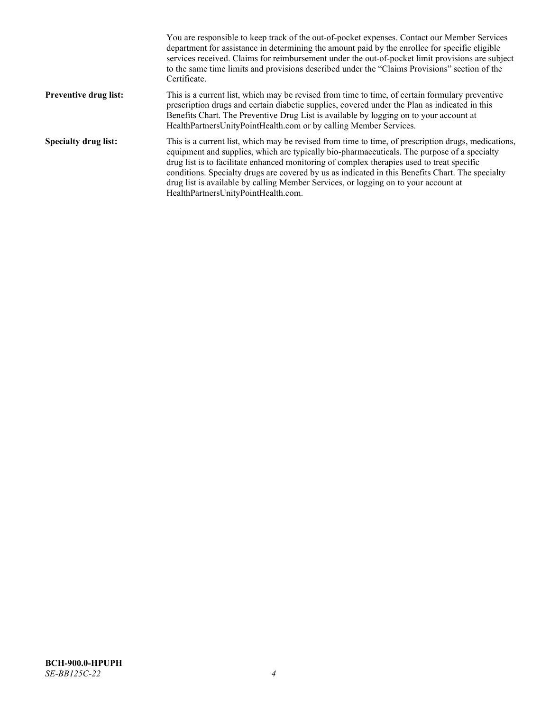|                              | You are responsible to keep track of the out-of-pocket expenses. Contact our Member Services<br>department for assistance in determining the amount paid by the enrollee for specific eligible<br>services received. Claims for reimbursement under the out-of-pocket limit provisions are subject<br>to the same time limits and provisions described under the "Claims Provisions" section of the<br>Certificate.                                                                                                                |
|------------------------------|------------------------------------------------------------------------------------------------------------------------------------------------------------------------------------------------------------------------------------------------------------------------------------------------------------------------------------------------------------------------------------------------------------------------------------------------------------------------------------------------------------------------------------|
| <b>Preventive drug list:</b> | This is a current list, which may be revised from time to time, of certain formulary preventive<br>prescription drugs and certain diabetic supplies, covered under the Plan as indicated in this<br>Benefits Chart. The Preventive Drug List is available by logging on to your account at<br>HealthPartnersUnityPointHealth.com or by calling Member Services.                                                                                                                                                                    |
| <b>Specialty drug list:</b>  | This is a current list, which may be revised from time to time, of prescription drugs, medications,<br>equipment and supplies, which are typically bio-pharmaceuticals. The purpose of a specialty<br>drug list is to facilitate enhanced monitoring of complex therapies used to treat specific<br>conditions. Specialty drugs are covered by us as indicated in this Benefits Chart. The specialty<br>drug list is available by calling Member Services, or logging on to your account at<br>HealthPartnersUnityPointHealth.com. |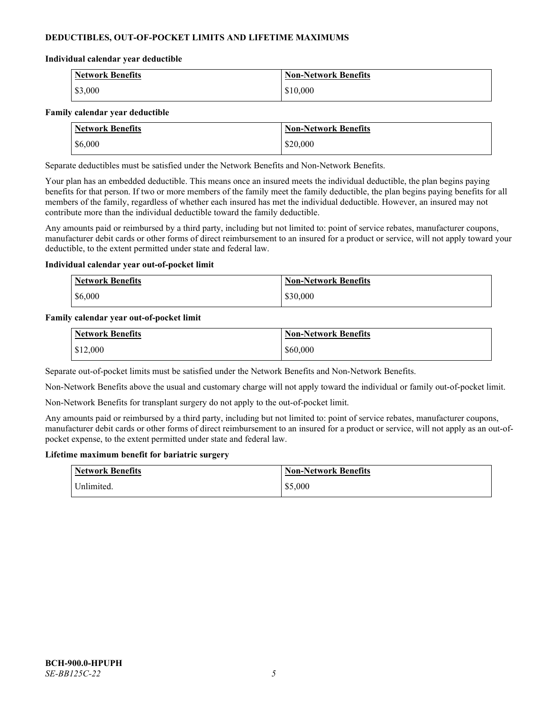# **DEDUCTIBLES, OUT-OF-POCKET LIMITS AND LIFETIME MAXIMUMS**

#### **Individual calendar year deductible**

| <b>Network Benefits</b> | <b>Non-Network Benefits</b> |
|-------------------------|-----------------------------|
| \$3,000                 | \$10,000                    |

#### **Family calendar year deductible**

| <b>Network Benefits</b> | <b>Non-Network Benefits</b> |
|-------------------------|-----------------------------|
| \$6,000                 | \$20,000                    |

Separate deductibles must be satisfied under the Network Benefits and Non-Network Benefits.

Your plan has an embedded deductible. This means once an insured meets the individual deductible, the plan begins paying benefits for that person. If two or more members of the family meet the family deductible, the plan begins paying benefits for all members of the family, regardless of whether each insured has met the individual deductible. However, an insured may not contribute more than the individual deductible toward the family deductible.

Any amounts paid or reimbursed by a third party, including but not limited to: point of service rebates, manufacturer coupons, manufacturer debit cards or other forms of direct reimbursement to an insured for a product or service, will not apply toward your deductible, to the extent permitted under state and federal law.

#### **Individual calendar year out-of-pocket limit**

| <b>Network Benefits</b> | <b>Non-Network Benefits</b> |
|-------------------------|-----------------------------|
| \$6,000                 | \$30,000                    |

#### **Family calendar year out-of-pocket limit**

| <b>Network Benefits</b> | <b>Non-Network Benefits</b> |
|-------------------------|-----------------------------|
| \$12,000                | \$60,000                    |

Separate out-of-pocket limits must be satisfied under the Network Benefits and Non-Network Benefits.

Non-Network Benefits above the usual and customary charge will not apply toward the individual or family out-of-pocket limit.

Non-Network Benefits for transplant surgery do not apply to the out-of-pocket limit.

Any amounts paid or reimbursed by a third party, including but not limited to: point of service rebates, manufacturer coupons, manufacturer debit cards or other forms of direct reimbursement to an insured for a product or service, will not apply as an out-ofpocket expense, to the extent permitted under state and federal law.

#### **Lifetime maximum benefit for bariatric surgery**

| <b>Network Benefits</b> | <b>Non-Network Benefits</b> |
|-------------------------|-----------------------------|
| <sup>I</sup> Inlimited. | \$5,000                     |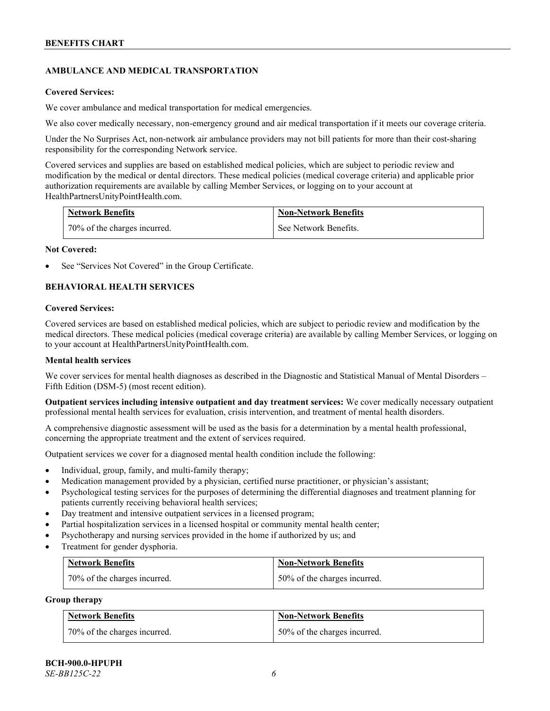# **AMBULANCE AND MEDICAL TRANSPORTATION**

#### **Covered Services:**

We cover ambulance and medical transportation for medical emergencies.

We also cover medically necessary, non-emergency ground and air medical transportation if it meets our coverage criteria.

Under the No Surprises Act, non-network air ambulance providers may not bill patients for more than their cost-sharing responsibility for the corresponding Network service.

Covered services and supplies are based on established medical policies, which are subject to periodic review and modification by the medical or dental directors. These medical policies (medical coverage criteria) and applicable prior authorization requirements are available by calling Member Services, or logging on to your account at [HealthPartnersUnityPointHealth.com.](https://www.healthpartnersunitypointhealth.com/)

| <b>Network Benefits</b>      | <b>Non-Network Benefits</b> |
|------------------------------|-----------------------------|
| 70% of the charges incurred. | See Network Benefits.       |

#### **Not Covered:**

See "Services Not Covered" in the Group Certificate.

# **BEHAVIORAL HEALTH SERVICES**

#### **Covered Services:**

Covered services are based on established medical policies, which are subject to periodic review and modification by the medical directors. These medical policies (medical coverage criteria) are available by calling Member Services, or logging on to your account at [HealthPartnersUnityPointHealth.com.](https://www.healthpartnersunitypointhealth.com/)

### **Mental health services**

We cover services for mental health diagnoses as described in the Diagnostic and Statistical Manual of Mental Disorders – Fifth Edition (DSM-5) (most recent edition).

**Outpatient services including intensive outpatient and day treatment services:** We cover medically necessary outpatient professional mental health services for evaluation, crisis intervention, and treatment of mental health disorders.

A comprehensive diagnostic assessment will be used as the basis for a determination by a mental health professional, concerning the appropriate treatment and the extent of services required.

Outpatient services we cover for a diagnosed mental health condition include the following:

- Individual, group, family, and multi-family therapy;
- Medication management provided by a physician, certified nurse practitioner, or physician's assistant;
- Psychological testing services for the purposes of determining the differential diagnoses and treatment planning for patients currently receiving behavioral health services;
- Day treatment and intensive outpatient services in a licensed program;
- Partial hospitalization services in a licensed hospital or community mental health center;
- Psychotherapy and nursing services provided in the home if authorized by us; and
- Treatment for gender dysphoria.

| <b>Network Benefits</b>      | <b>Non-Network Benefits</b>  |
|------------------------------|------------------------------|
| 70% of the charges incurred. | 50% of the charges incurred. |

#### **Group therapy**

| <b>Network Benefits</b>      | <b>Non-Network Benefits</b>  |
|------------------------------|------------------------------|
| 70% of the charges incurred. | 50% of the charges incurred. |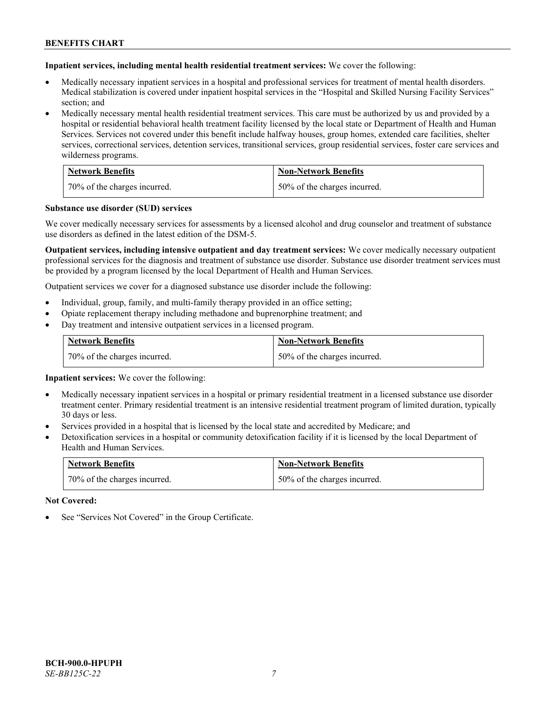**Inpatient services, including mental health residential treatment services:** We cover the following:

- Medically necessary inpatient services in a hospital and professional services for treatment of mental health disorders. Medical stabilization is covered under inpatient hospital services in the "Hospital and Skilled Nursing Facility Services" section; and
- Medically necessary mental health residential treatment services. This care must be authorized by us and provided by a hospital or residential behavioral health treatment facility licensed by the local state or Department of Health and Human Services. Services not covered under this benefit include halfway houses, group homes, extended care facilities, shelter services, correctional services, detention services, transitional services, group residential services, foster care services and wilderness programs.

| <b>Network Benefits</b>      | <b>Non-Network Benefits</b>  |
|------------------------------|------------------------------|
| 70% of the charges incurred. | 50% of the charges incurred. |

#### **Substance use disorder (SUD) services**

We cover medically necessary services for assessments by a licensed alcohol and drug counselor and treatment of substance use disorders as defined in the latest edition of the DSM-5.

**Outpatient services, including intensive outpatient and day treatment services:** We cover medically necessary outpatient professional services for the diagnosis and treatment of substance use disorder. Substance use disorder treatment services must be provided by a program licensed by the local Department of Health and Human Services.

Outpatient services we cover for a diagnosed substance use disorder include the following:

- Individual, group, family, and multi-family therapy provided in an office setting;
- Opiate replacement therapy including methadone and buprenorphine treatment; and
- Day treatment and intensive outpatient services in a licensed program.

| <b>Network Benefits</b>      | <b>Non-Network Benefits</b>  |
|------------------------------|------------------------------|
| 70% of the charges incurred. | 50% of the charges incurred. |

**Inpatient services:** We cover the following:

- Medically necessary inpatient services in a hospital or primary residential treatment in a licensed substance use disorder treatment center. Primary residential treatment is an intensive residential treatment program of limited duration, typically 30 days or less.
- Services provided in a hospital that is licensed by the local state and accredited by Medicare; and
- Detoxification services in a hospital or community detoxification facility if it is licensed by the local Department of Health and Human Services.

| <b>Network Benefits</b>      | <b>Non-Network Benefits</b>  |
|------------------------------|------------------------------|
| 70% of the charges incurred. | 50% of the charges incurred. |

**Not Covered:**

See "Services Not Covered" in the Group Certificate.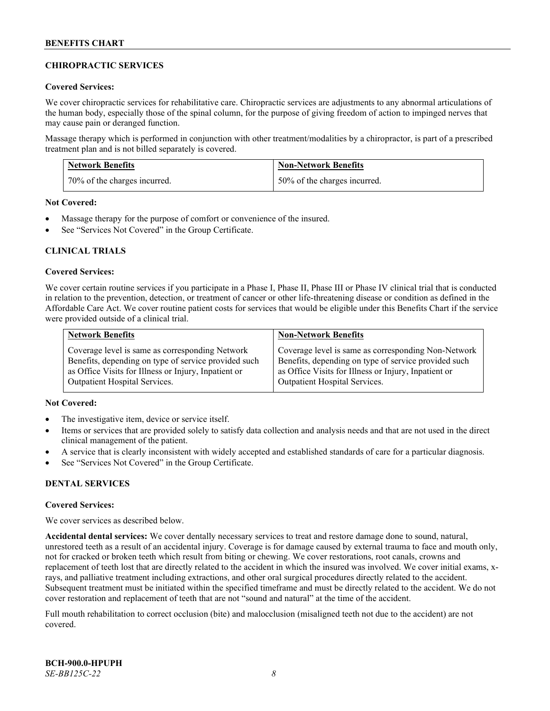# **CHIROPRACTIC SERVICES**

### **Covered Services:**

We cover chiropractic services for rehabilitative care. Chiropractic services are adjustments to any abnormal articulations of the human body, especially those of the spinal column, for the purpose of giving freedom of action to impinged nerves that may cause pain or deranged function.

Massage therapy which is performed in conjunction with other treatment/modalities by a chiropractor, is part of a prescribed treatment plan and is not billed separately is covered.

| <b>Network Benefits</b>      | <b>Non-Network Benefits</b>  |
|------------------------------|------------------------------|
| 70% of the charges incurred. | 50% of the charges incurred. |

**Not Covered:**

- Massage therapy for the purpose of comfort or convenience of the insured.
- See "Services Not Covered" in the Group Certificate.

# **CLINICAL TRIALS**

#### **Covered Services:**

We cover certain routine services if you participate in a Phase I, Phase II, Phase III or Phase IV clinical trial that is conducted in relation to the prevention, detection, or treatment of cancer or other life-threatening disease or condition as defined in the Affordable Care Act. We cover routine patient costs for services that would be eligible under this Benefits Chart if the service were provided outside of a clinical trial.

| <b>Network Benefits</b>                              | <b>Non-Network Benefits</b>                          |
|------------------------------------------------------|------------------------------------------------------|
| Coverage level is same as corresponding Network      | Coverage level is same as corresponding Non-Network  |
| Benefits, depending on type of service provided such | Benefits, depending on type of service provided such |
| as Office Visits for Illness or Injury, Inpatient or | as Office Visits for Illness or Injury, Inpatient or |
| <b>Outpatient Hospital Services.</b>                 | <b>Outpatient Hospital Services.</b>                 |

# **Not Covered:**

- The investigative item, device or service itself.
- Items or services that are provided solely to satisfy data collection and analysis needs and that are not used in the direct clinical management of the patient.
- A service that is clearly inconsistent with widely accepted and established standards of care for a particular diagnosis.
- See "Services Not Covered" in the Group Certificate.

# **DENTAL SERVICES**

#### **Covered Services:**

We cover services as described below.

**Accidental dental services:** We cover dentally necessary services to treat and restore damage done to sound, natural, unrestored teeth as a result of an accidental injury. Coverage is for damage caused by external trauma to face and mouth only, not for cracked or broken teeth which result from biting or chewing. We cover restorations, root canals, crowns and replacement of teeth lost that are directly related to the accident in which the insured was involved. We cover initial exams, xrays, and palliative treatment including extractions, and other oral surgical procedures directly related to the accident. Subsequent treatment must be initiated within the specified timeframe and must be directly related to the accident. We do not cover restoration and replacement of teeth that are not "sound and natural" at the time of the accident.

Full mouth rehabilitation to correct occlusion (bite) and malocclusion (misaligned teeth not due to the accident) are not covered.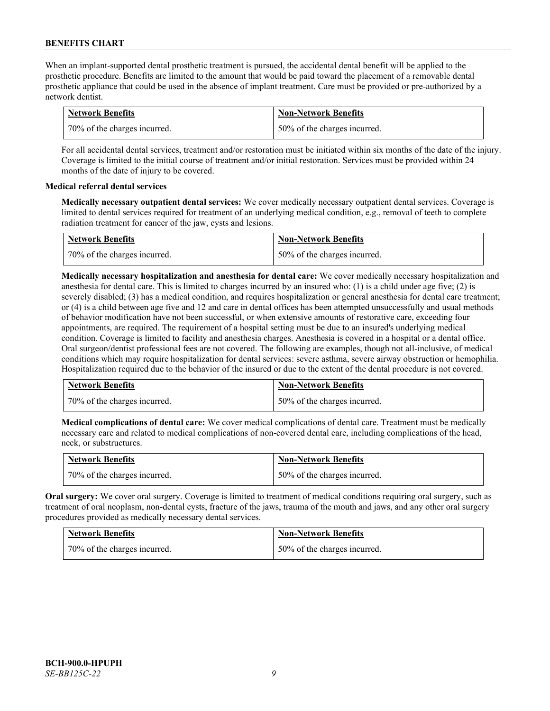When an implant-supported dental prosthetic treatment is pursued, the accidental dental benefit will be applied to the prosthetic procedure. Benefits are limited to the amount that would be paid toward the placement of a removable dental prosthetic appliance that could be used in the absence of implant treatment. Care must be provided or pre-authorized by a network dentist.

| <b>Network Benefits</b>      | <b>Non-Network Benefits</b>  |
|------------------------------|------------------------------|
| 70% of the charges incurred. | 50% of the charges incurred. |

For all accidental dental services, treatment and/or restoration must be initiated within six months of the date of the injury. Coverage is limited to the initial course of treatment and/or initial restoration. Services must be provided within 24 months of the date of injury to be covered.

# **Medical referral dental services**

**Medically necessary outpatient dental services:** We cover medically necessary outpatient dental services. Coverage is limited to dental services required for treatment of an underlying medical condition, e.g., removal of teeth to complete radiation treatment for cancer of the jaw, cysts and lesions.

| <b>Network Benefits</b>      | <b>Non-Network Benefits</b>  |
|------------------------------|------------------------------|
| 70% of the charges incurred. | 50% of the charges incurred. |

**Medically necessary hospitalization and anesthesia for dental care:** We cover medically necessary hospitalization and anesthesia for dental care. This is limited to charges incurred by an insured who: (1) is a child under age five; (2) is severely disabled; (3) has a medical condition, and requires hospitalization or general anesthesia for dental care treatment; or (4) is a child between age five and 12 and care in dental offices has been attempted unsuccessfully and usual methods of behavior modification have not been successful, or when extensive amounts of restorative care, exceeding four appointments, are required. The requirement of a hospital setting must be due to an insured's underlying medical condition. Coverage is limited to facility and anesthesia charges. Anesthesia is covered in a hospital or a dental office. Oral surgeon/dentist professional fees are not covered. The following are examples, though not all-inclusive, of medical conditions which may require hospitalization for dental services: severe asthma, severe airway obstruction or hemophilia. Hospitalization required due to the behavior of the insured or due to the extent of the dental procedure is not covered.

| <b>Network Benefits</b>      | <b>Non-Network Benefits</b>  |
|------------------------------|------------------------------|
| 70% of the charges incurred. | 50% of the charges incurred. |

**Medical complications of dental care:** We cover medical complications of dental care. Treatment must be medically necessary care and related to medical complications of non-covered dental care, including complications of the head, neck, or substructures.

| <b>Network Benefits</b>        | <b>Non-Network Benefits</b>  |
|--------------------------------|------------------------------|
| 1 70% of the charges incurred. | 50% of the charges incurred. |

**Oral surgery:** We cover oral surgery. Coverage is limited to treatment of medical conditions requiring oral surgery, such as treatment of oral neoplasm, non-dental cysts, fracture of the jaws, trauma of the mouth and jaws, and any other oral surgery procedures provided as medically necessary dental services.

| <b>Network Benefits</b>      | <b>Non-Network Benefits</b>  |
|------------------------------|------------------------------|
| 70% of the charges incurred. | 50% of the charges incurred. |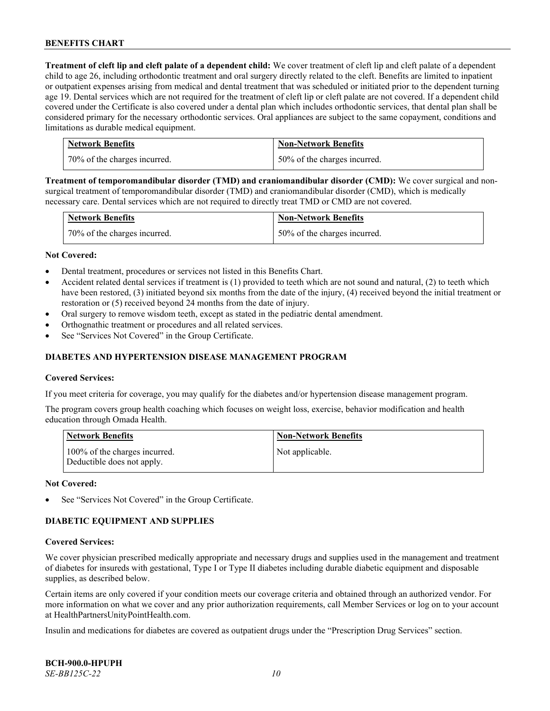**Treatment of cleft lip and cleft palate of a dependent child:** We cover treatment of cleft lip and cleft palate of a dependent child to age 26, including orthodontic treatment and oral surgery directly related to the cleft. Benefits are limited to inpatient or outpatient expenses arising from medical and dental treatment that was scheduled or initiated prior to the dependent turning age 19. Dental services which are not required for the treatment of cleft lip or cleft palate are not covered. If a dependent child covered under the Certificate is also covered under a dental plan which includes orthodontic services, that dental plan shall be considered primary for the necessary orthodontic services. Oral appliances are subject to the same copayment, conditions and limitations as durable medical equipment.

| <b>Network Benefits</b>      | <b>Non-Network Benefits</b>  |
|------------------------------|------------------------------|
| 70% of the charges incurred. | 50% of the charges incurred. |

**Treatment of temporomandibular disorder (TMD) and craniomandibular disorder (CMD):** We cover surgical and nonsurgical treatment of temporomandibular disorder (TMD) and craniomandibular disorder (CMD), which is medically necessary care. Dental services which are not required to directly treat TMD or CMD are not covered.

| <b>Network Benefits</b>      | <b>Non-Network Benefits</b>  |
|------------------------------|------------------------------|
| 70% of the charges incurred. | 50% of the charges incurred. |

#### **Not Covered:**

- Dental treatment, procedures or services not listed in this Benefits Chart.
- Accident related dental services if treatment is (1) provided to teeth which are not sound and natural, (2) to teeth which have been restored, (3) initiated beyond six months from the date of the injury, (4) received beyond the initial treatment or restoration or (5) received beyond 24 months from the date of injury.
- Oral surgery to remove wisdom teeth, except as stated in the pediatric dental amendment.
- Orthognathic treatment or procedures and all related services.
- See "Services Not Covered" in the Group Certificate.

### **DIABETES AND HYPERTENSION DISEASE MANAGEMENT PROGRAM**

#### **Covered Services:**

If you meet criteria for coverage, you may qualify for the diabetes and/or hypertension disease management program.

The program covers group health coaching which focuses on weight loss, exercise, behavior modification and health education through Omada Health.

| <b>Network Benefits</b>                                     | <b>Non-Network Benefits</b> |
|-------------------------------------------------------------|-----------------------------|
| 100% of the charges incurred.<br>Deductible does not apply. | Not applicable.             |

#### **Not Covered:**

See "Services Not Covered" in the Group Certificate.

# **DIABETIC EQUIPMENT AND SUPPLIES**

#### **Covered Services:**

We cover physician prescribed medically appropriate and necessary drugs and supplies used in the management and treatment of diabetes for insureds with gestational, Type I or Type II diabetes including durable diabetic equipment and disposable supplies, as described below.

Certain items are only covered if your condition meets our coverage criteria and obtained through an authorized vendor. For more information on what we cover and any prior authorization requirements, call Member Services or log on to your account at [HealthPartnersUnityPointHealth.com.](https://www.healthpartnersunitypointhealth.com/)

Insulin and medications for diabetes are covered as outpatient drugs under the "Prescription Drug Services" section.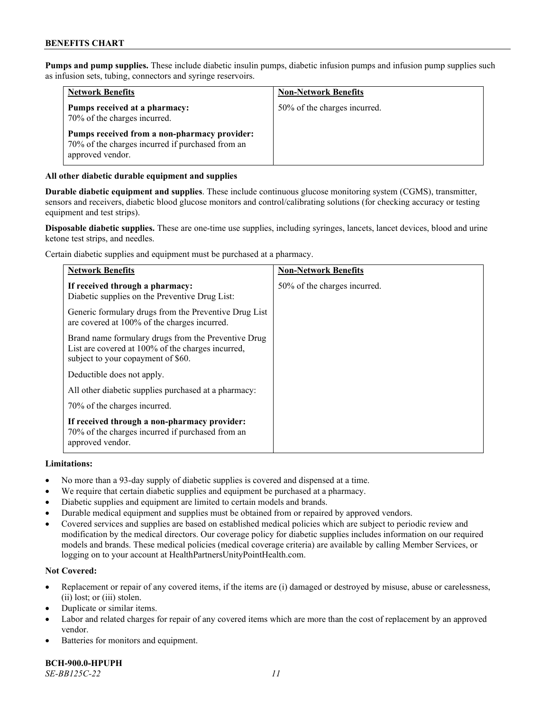**Pumps and pump supplies.** These include diabetic insulin pumps, diabetic infusion pumps and infusion pump supplies such as infusion sets, tubing, connectors and syringe reservoirs.

| <b>Network Benefits</b>                                                                                              | <b>Non-Network Benefits</b>  |
|----------------------------------------------------------------------------------------------------------------------|------------------------------|
| Pumps received at a pharmacy:<br>70% of the charges incurred.                                                        | 50% of the charges incurred. |
| Pumps received from a non-pharmacy provider:<br>70% of the charges incurred if purchased from an<br>approved vendor. |                              |

### **All other diabetic durable equipment and supplies**

**Durable diabetic equipment and supplies**. These include continuous glucose monitoring system (CGMS), transmitter, sensors and receivers, diabetic blood glucose monitors and control/calibrating solutions (for checking accuracy or testing equipment and test strips).

**Disposable diabetic supplies.** These are one-time use supplies, including syringes, lancets, lancet devices, blood and urine ketone test strips, and needles.

Certain diabetic supplies and equipment must be purchased at a pharmacy.

| <b>Network Benefits</b>                                                                                                                        | <b>Non-Network Benefits</b>  |
|------------------------------------------------------------------------------------------------------------------------------------------------|------------------------------|
| If received through a pharmacy:<br>Diabetic supplies on the Preventive Drug List:                                                              | 50% of the charges incurred. |
| Generic formulary drugs from the Preventive Drug List<br>are covered at 100% of the charges incurred.                                          |                              |
| Brand name formulary drugs from the Preventive Drug<br>List are covered at 100% of the charges incurred,<br>subject to your copayment of \$60. |                              |
| Deductible does not apply.                                                                                                                     |                              |
| All other diabetic supplies purchased at a pharmacy:                                                                                           |                              |
| 70% of the charges incurred.                                                                                                                   |                              |
| If received through a non-pharmacy provider:<br>70% of the charges incurred if purchased from an<br>approved vendor.                           |                              |

#### **Limitations:**

- No more than a 93-day supply of diabetic supplies is covered and dispensed at a time.
- We require that certain diabetic supplies and equipment be purchased at a pharmacy.
- Diabetic supplies and equipment are limited to certain models and brands.
- Durable medical equipment and supplies must be obtained from or repaired by approved vendors.
- Covered services and supplies are based on established medical policies which are subject to periodic review and modification by the medical directors. Our coverage policy for diabetic supplies includes information on our required models and brands. These medical policies (medical coverage criteria) are available by calling Member Services, or logging on to your account a[t HealthPartnersUnityPointHealth.com.](https://www.healthpartnersunitypointhealth.com/)

# **Not Covered:**

- Replacement or repair of any covered items, if the items are (i) damaged or destroyed by misuse, abuse or carelessness, (ii) lost; or (iii) stolen.
- Duplicate or similar items.
- Labor and related charges for repair of any covered items which are more than the cost of replacement by an approved vendor.
- Batteries for monitors and equipment.

**BCH-900.0-HPUPH** *SE-BB125C-22 11*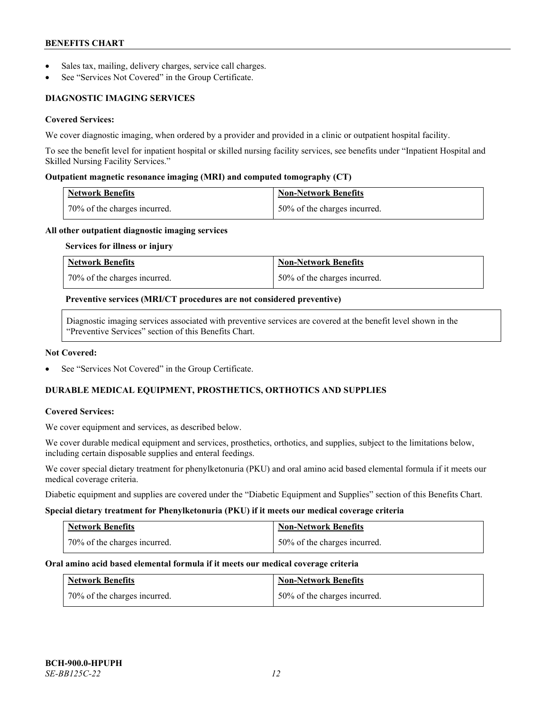- Sales tax, mailing, delivery charges, service call charges.
- See "Services Not Covered" in the Group Certificate.

# **DIAGNOSTIC IMAGING SERVICES**

# **Covered Services:**

We cover diagnostic imaging, when ordered by a provider and provided in a clinic or outpatient hospital facility.

To see the benefit level for inpatient hospital or skilled nursing facility services, see benefits under "Inpatient Hospital and Skilled Nursing Facility Services."

### **Outpatient magnetic resonance imaging (MRI) and computed tomography (CT)**

| <b>Network Benefits</b>        | <b>Non-Network Benefits</b>  |
|--------------------------------|------------------------------|
| 1 70% of the charges incurred. | 50% of the charges incurred. |

#### **All other outpatient diagnostic imaging services**

#### **Services for illness or injury**

| <b>Network Benefits</b>      | <b>Non-Network Benefits</b>  |
|------------------------------|------------------------------|
| 70% of the charges incurred. | 50% of the charges incurred. |

#### **Preventive services (MRI/CT procedures are not considered preventive)**

Diagnostic imaging services associated with preventive services are covered at the benefit level shown in the "Preventive Services" section of this Benefits Chart.

#### **Not Covered:**

See "Services Not Covered" in the Group Certificate.

# **DURABLE MEDICAL EQUIPMENT, PROSTHETICS, ORTHOTICS AND SUPPLIES**

#### **Covered Services:**

We cover equipment and services, as described below.

We cover durable medical equipment and services, prosthetics, orthotics, and supplies, subject to the limitations below, including certain disposable supplies and enteral feedings.

We cover special dietary treatment for phenylketonuria (PKU) and oral amino acid based elemental formula if it meets our medical coverage criteria.

Diabetic equipment and supplies are covered under the "Diabetic Equipment and Supplies" section of this Benefits Chart.

#### **Special dietary treatment for Phenylketonuria (PKU) if it meets our medical coverage criteria**

| <b>Network Benefits</b>      | <b>Non-Network Benefits</b>  |
|------------------------------|------------------------------|
| 70% of the charges incurred. | 50% of the charges incurred. |

#### **Oral amino acid based elemental formula if it meets our medical coverage criteria**

| <b>Network Benefits</b>        | <b>Non-Network Benefits</b>  |
|--------------------------------|------------------------------|
| 1 70% of the charges incurred. | 50% of the charges incurred. |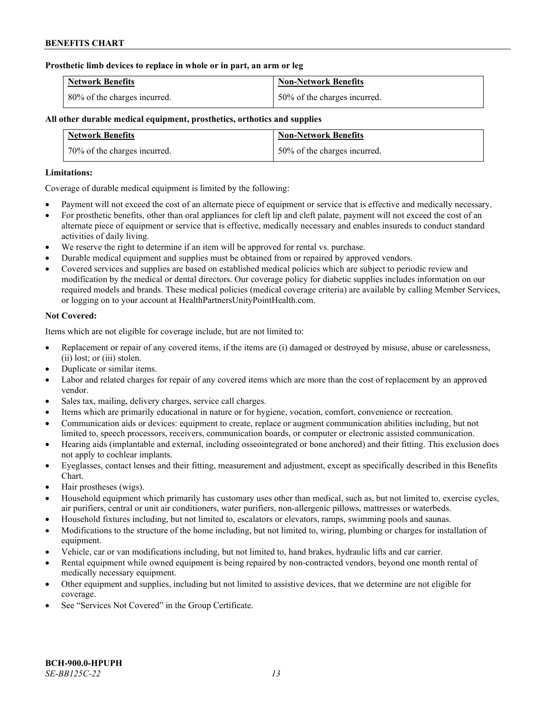### **Prosthetic limb devices to replace in whole or in part, an arm or leg**

| <b>Network Benefits</b>      | <b>Non-Network Benefits</b>      |
|------------------------------|----------------------------------|
| 80% of the charges incurred. | $150\%$ of the charges incurred. |

# **All other durable medical equipment, prosthetics, orthotics and supplies**

| <b>Network Benefits</b>      | <b>Non-Network Benefits</b>  |
|------------------------------|------------------------------|
| 70% of the charges incurred. | 50% of the charges incurred. |

### **Limitations:**

Coverage of durable medical equipment is limited by the following:

- Payment will not exceed the cost of an alternate piece of equipment or service that is effective and medically necessary.
- For prosthetic benefits, other than oral appliances for cleft lip and cleft palate, payment will not exceed the cost of an alternate piece of equipment or service that is effective, medically necessary and enables insureds to conduct standard activities of daily living.
- We reserve the right to determine if an item will be approved for rental vs. purchase.
- Durable medical equipment and supplies must be obtained from or repaired by approved vendors.
- Covered services and supplies are based on established medical policies which are subject to periodic review and modification by the medical or dental directors. Our coverage policy for diabetic supplies includes information on our required models and brands. These medical policies (medical coverage criteria) are available by calling Member Services, or logging on to your account at [HealthPartnersUnityPointHealth.com.](https://www.healthpartnersunitypointhealth.com/)

# **Not Covered:**

Items which are not eligible for coverage include, but are not limited to:

- Replacement or repair of any covered items, if the items are (i) damaged or destroyed by misuse, abuse or carelessness, (ii) lost; or (iii) stolen.
- Duplicate or similar items.
- Labor and related charges for repair of any covered items which are more than the cost of replacement by an approved vendor.
- Sales tax, mailing, delivery charges, service call charges.
- Items which are primarily educational in nature or for hygiene, vocation, comfort, convenience or recreation.
- Communication aids or devices: equipment to create, replace or augment communication abilities including, but not limited to, speech processors, receivers, communication boards, or computer or electronic assisted communication.
- Hearing aids (implantable and external, including osseointegrated or bone anchored) and their fitting. This exclusion does not apply to cochlear implants.
- Eyeglasses, contact lenses and their fitting, measurement and adjustment, except as specifically described in this Benefits Chart.
- Hair prostheses (wigs).
- Household equipment which primarily has customary uses other than medical, such as, but not limited to, exercise cycles, air purifiers, central or unit air conditioners, water purifiers, non-allergenic pillows, mattresses or waterbeds.
- Household fixtures including, but not limited to, escalators or elevators, ramps, swimming pools and saunas.
- Modifications to the structure of the home including, but not limited to, wiring, plumbing or charges for installation of equipment.
- Vehicle, car or van modifications including, but not limited to, hand brakes, hydraulic lifts and car carrier.
- Rental equipment while owned equipment is being repaired by non-contracted vendors, beyond one month rental of medically necessary equipment.
- Other equipment and supplies, including but not limited to assistive devices, that we determine are not eligible for coverage.
- See "Services Not Covered" in the Group Certificate.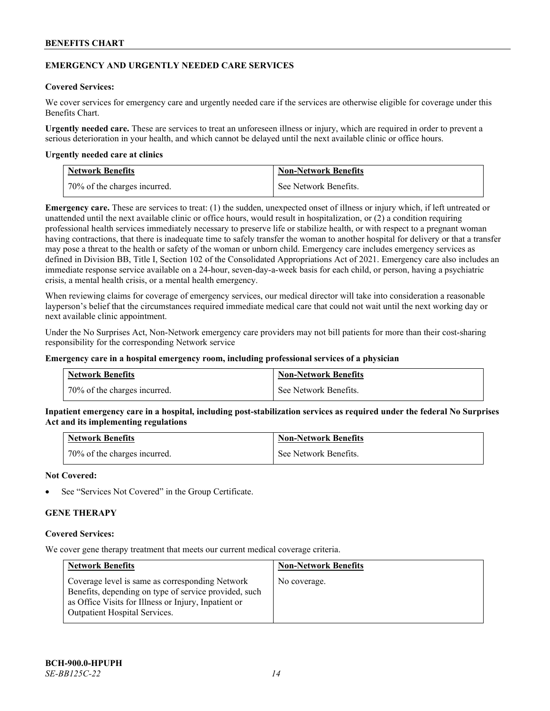### **EMERGENCY AND URGENTLY NEEDED CARE SERVICES**

## **Covered Services:**

We cover services for emergency care and urgently needed care if the services are otherwise eligible for coverage under this Benefits Chart.

**Urgently needed care.** These are services to treat an unforeseen illness or injury, which are required in order to prevent a serious deterioration in your health, and which cannot be delayed until the next available clinic or office hours.

#### **Urgently needed care at clinics**

| <b>Network Benefits</b>        | <b>Non-Network Benefits</b> |
|--------------------------------|-----------------------------|
| 1 70% of the charges incurred. | See Network Benefits.       |

**Emergency care.** These are services to treat: (1) the sudden, unexpected onset of illness or injury which, if left untreated or unattended until the next available clinic or office hours, would result in hospitalization, or (2) a condition requiring professional health services immediately necessary to preserve life or stabilize health, or with respect to a pregnant woman having contractions, that there is inadequate time to safely transfer the woman to another hospital for delivery or that a transfer may pose a threat to the health or safety of the woman or unborn child. Emergency care includes emergency services as defined in Division BB, Title I, Section 102 of the Consolidated Appropriations Act of 2021. Emergency care also includes an immediate response service available on a 24-hour, seven-day-a-week basis for each child, or person, having a psychiatric crisis, a mental health crisis, or a mental health emergency.

When reviewing claims for coverage of emergency services, our medical director will take into consideration a reasonable layperson's belief that the circumstances required immediate medical care that could not wait until the next working day or next available clinic appointment.

Under the No Surprises Act, Non-Network emergency care providers may not bill patients for more than their cost-sharing responsibility for the corresponding Network service

#### **Emergency care in a hospital emergency room, including professional services of a physician**

| <b>Network Benefits</b>      | <b>Non-Network Benefits</b> |
|------------------------------|-----------------------------|
| 70% of the charges incurred. | See Network Benefits.       |

**Inpatient emergency care in a hospital, including post-stabilization services as required under the federal No Surprises Act and its implementing regulations**

| <b>Network Benefits</b>      | <b>Non-Network Benefits</b> |
|------------------------------|-----------------------------|
| 70% of the charges incurred. | See Network Benefits.       |

### **Not Covered:**

See "Services Not Covered" in the Group Certificate.

# **GENE THERAPY**

#### **Covered Services:**

We cover gene therapy treatment that meets our current medical coverage criteria.

| <b>Network Benefits</b>                                                                                                                                                                                  | <b>Non-Network Benefits</b> |
|----------------------------------------------------------------------------------------------------------------------------------------------------------------------------------------------------------|-----------------------------|
| Coverage level is same as corresponding Network<br>Benefits, depending on type of service provided, such<br>as Office Visits for Illness or Injury, Inpatient or<br><b>Outpatient Hospital Services.</b> | No coverage.                |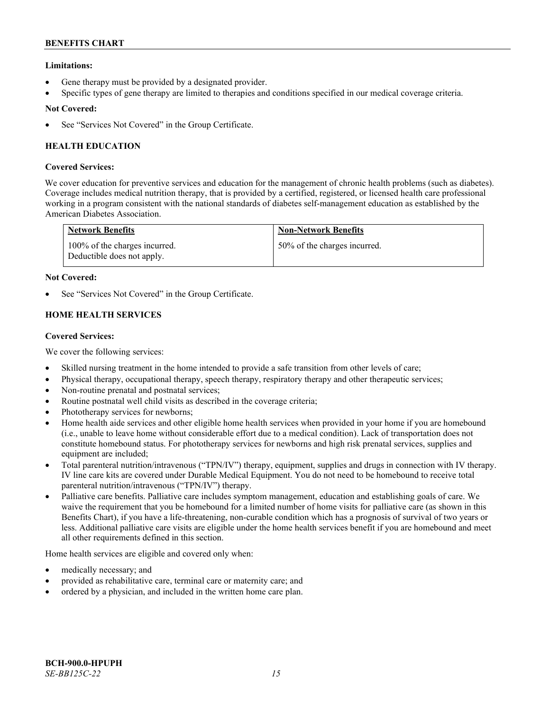# **Limitations:**

- Gene therapy must be provided by a designated provider.
- Specific types of gene therapy are limited to therapies and conditions specified in our medical coverage criteria.

# **Not Covered:**

See "Services Not Covered" in the Group Certificate.

# **HEALTH EDUCATION**

# **Covered Services:**

We cover education for preventive services and education for the management of chronic health problems (such as diabetes). Coverage includes medical nutrition therapy, that is provided by a certified, registered, or licensed health care professional working in a program consistent with the national standards of diabetes self-management education as established by the American Diabetes Association.

| <b>Network Benefits</b>                                     | <b>Non-Network Benefits</b>  |
|-------------------------------------------------------------|------------------------------|
| 100% of the charges incurred.<br>Deductible does not apply. | 50% of the charges incurred. |

# **Not Covered:**

See "Services Not Covered" in the Group Certificate.

# **HOME HEALTH SERVICES**

# **Covered Services:**

We cover the following services:

- Skilled nursing treatment in the home intended to provide a safe transition from other levels of care;
- Physical therapy, occupational therapy, speech therapy, respiratory therapy and other therapeutic services;
- Non-routine prenatal and postnatal services;
- Routine postnatal well child visits as described in the coverage criteria;
- Phototherapy services for newborns;
- Home health aide services and other eligible home health services when provided in your home if you are homebound (i.e., unable to leave home without considerable effort due to a medical condition). Lack of transportation does not constitute homebound status. For phototherapy services for newborns and high risk prenatal services, supplies and equipment are included;
- Total parenteral nutrition/intravenous ("TPN/IV") therapy, equipment, supplies and drugs in connection with IV therapy. IV line care kits are covered under Durable Medical Equipment. You do not need to be homebound to receive total parenteral nutrition/intravenous ("TPN/IV") therapy.
- Palliative care benefits. Palliative care includes symptom management, education and establishing goals of care. We waive the requirement that you be homebound for a limited number of home visits for palliative care (as shown in this Benefits Chart), if you have a life-threatening, non-curable condition which has a prognosis of survival of two years or less. Additional palliative care visits are eligible under the home health services benefit if you are homebound and meet all other requirements defined in this section.

Home health services are eligible and covered only when:

- medically necessary; and
- provided as rehabilitative care, terminal care or maternity care; and
- ordered by a physician, and included in the written home care plan.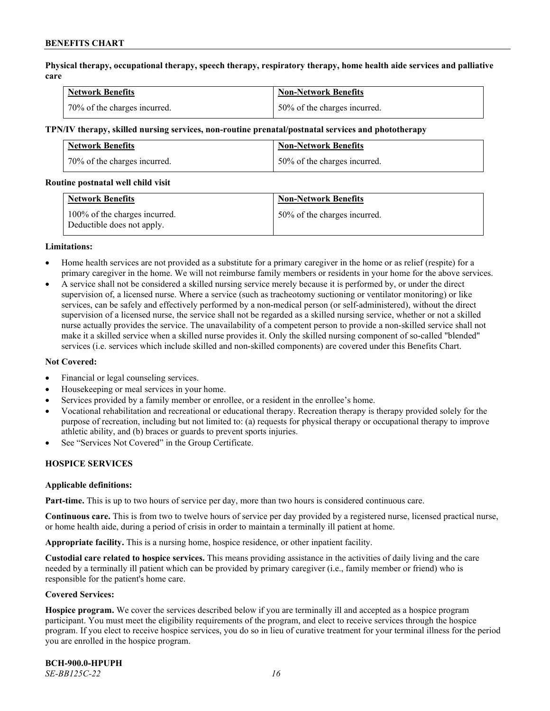**Physical therapy, occupational therapy, speech therapy, respiratory therapy, home health aide services and palliative care**

| <b>Network Benefits</b>      | <b>Non-Network Benefits</b>  |
|------------------------------|------------------------------|
| 70% of the charges incurred. | 50% of the charges incurred. |

#### **TPN/IV therapy, skilled nursing services, non-routine prenatal/postnatal services and phototherapy**

| <b>Network Benefits</b>      | <b>Non-Network Benefits</b>  |
|------------------------------|------------------------------|
| 70% of the charges incurred. | 50% of the charges incurred. |

#### **Routine postnatal well child visit**

| <b>Network Benefits</b>                                     | <b>Non-Network Benefits</b>  |
|-------------------------------------------------------------|------------------------------|
| 100% of the charges incurred.<br>Deductible does not apply. | 50% of the charges incurred. |

#### **Limitations:**

- Home health services are not provided as a substitute for a primary caregiver in the home or as relief (respite) for a primary caregiver in the home. We will not reimburse family members or residents in your home for the above services.
- A service shall not be considered a skilled nursing service merely because it is performed by, or under the direct supervision of, a licensed nurse. Where a service (such as tracheotomy suctioning or ventilator monitoring) or like services, can be safely and effectively performed by a non-medical person (or self-administered), without the direct supervision of a licensed nurse, the service shall not be regarded as a skilled nursing service, whether or not a skilled nurse actually provides the service. The unavailability of a competent person to provide a non-skilled service shall not make it a skilled service when a skilled nurse provides it. Only the skilled nursing component of so-called "blended" services (i.e. services which include skilled and non-skilled components) are covered under this Benefits Chart.

#### **Not Covered:**

- Financial or legal counseling services.
- Housekeeping or meal services in your home.
- Services provided by a family member or enrollee, or a resident in the enrollee's home.
- Vocational rehabilitation and recreational or educational therapy. Recreation therapy is therapy provided solely for the purpose of recreation, including but not limited to: (a) requests for physical therapy or occupational therapy to improve athletic ability, and (b) braces or guards to prevent sports injuries.
- See "Services Not Covered" in the Group Certificate.

# **HOSPICE SERVICES**

#### **Applicable definitions:**

**Part-time.** This is up to two hours of service per day, more than two hours is considered continuous care.

**Continuous care.** This is from two to twelve hours of service per day provided by a registered nurse, licensed practical nurse, or home health aide, during a period of crisis in order to maintain a terminally ill patient at home.

**Appropriate facility.** This is a nursing home, hospice residence, or other inpatient facility.

**Custodial care related to hospice services.** This means providing assistance in the activities of daily living and the care needed by a terminally ill patient which can be provided by primary caregiver (i.e., family member or friend) who is responsible for the patient's home care.

#### **Covered Services:**

**Hospice program.** We cover the services described below if you are terminally ill and accepted as a hospice program participant. You must meet the eligibility requirements of the program, and elect to receive services through the hospice program. If you elect to receive hospice services, you do so in lieu of curative treatment for your terminal illness for the period you are enrolled in the hospice program.

**BCH-900.0-HPUPH** *SE-BB125C-22 16*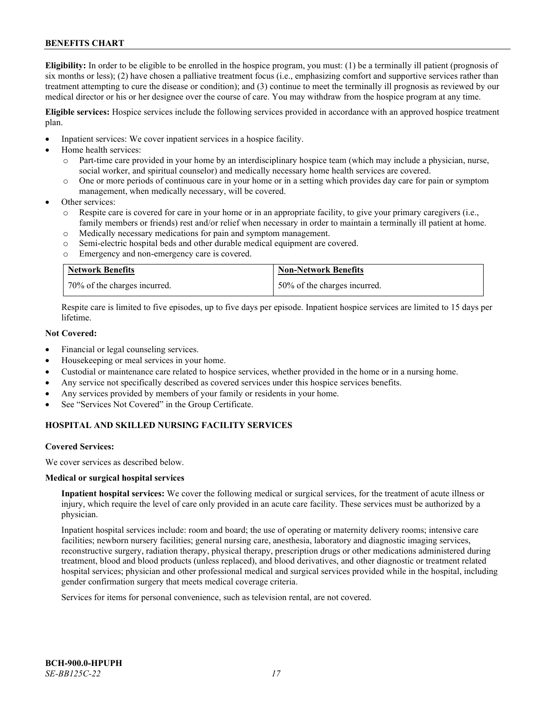**Eligibility:** In order to be eligible to be enrolled in the hospice program, you must: (1) be a terminally ill patient (prognosis of six months or less); (2) have chosen a palliative treatment focus (i.e., emphasizing comfort and supportive services rather than treatment attempting to cure the disease or condition); and (3) continue to meet the terminally ill prognosis as reviewed by our medical director or his or her designee over the course of care. You may withdraw from the hospice program at any time.

**Eligible services:** Hospice services include the following services provided in accordance with an approved hospice treatment plan.

- Inpatient services: We cover inpatient services in a hospice facility.
- Home health services:
	- o Part-time care provided in your home by an interdisciplinary hospice team (which may include a physician, nurse, social worker, and spiritual counselor) and medically necessary home health services are covered.
	- o One or more periods of continuous care in your home or in a setting which provides day care for pain or symptom management, when medically necessary, will be covered.
- Other services:
	- Respite care is covered for care in your home or in an appropriate facility, to give your primary caregivers (i.e., family members or friends) rest and/or relief when necessary in order to maintain a terminally ill patient at home.
	- o Medically necessary medications for pain and symptom management.
	- o Semi-electric hospital beds and other durable medical equipment are covered.
	- o Emergency and non-emergency care is covered.

| <b>Network Benefits</b>      | Non-Network Benefits         |
|------------------------------|------------------------------|
| 70% of the charges incurred. | 50% of the charges incurred. |

Respite care is limited to five episodes, up to five days per episode. Inpatient hospice services are limited to 15 days per lifetime.

# **Not Covered:**

- Financial or legal counseling services.
- Housekeeping or meal services in your home.
- Custodial or maintenance care related to hospice services, whether provided in the home or in a nursing home.
- Any service not specifically described as covered services under this hospice services benefits.
- Any services provided by members of your family or residents in your home.
- See "Services Not Covered" in the Group Certificate.

# **HOSPITAL AND SKILLED NURSING FACILITY SERVICES**

#### **Covered Services:**

We cover services as described below.

#### **Medical or surgical hospital services**

**Inpatient hospital services:** We cover the following medical or surgical services, for the treatment of acute illness or injury, which require the level of care only provided in an acute care facility. These services must be authorized by a physician.

Inpatient hospital services include: room and board; the use of operating or maternity delivery rooms; intensive care facilities; newborn nursery facilities; general nursing care, anesthesia, laboratory and diagnostic imaging services, reconstructive surgery, radiation therapy, physical therapy, prescription drugs or other medications administered during treatment, blood and blood products (unless replaced), and blood derivatives, and other diagnostic or treatment related hospital services; physician and other professional medical and surgical services provided while in the hospital, including gender confirmation surgery that meets medical coverage criteria.

Services for items for personal convenience, such as television rental, are not covered.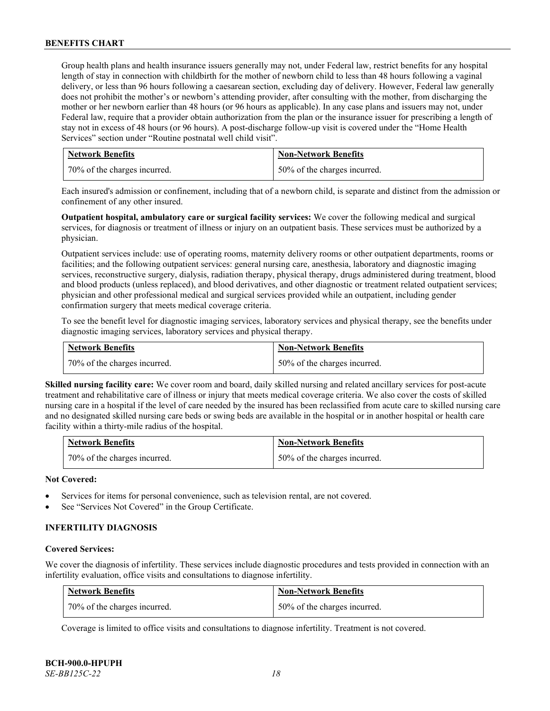Group health plans and health insurance issuers generally may not, under Federal law, restrict benefits for any hospital length of stay in connection with childbirth for the mother of newborn child to less than 48 hours following a vaginal delivery, or less than 96 hours following a caesarean section, excluding day of delivery. However, Federal law generally does not prohibit the mother's or newborn's attending provider, after consulting with the mother, from discharging the mother or her newborn earlier than 48 hours (or 96 hours as applicable). In any case plans and issuers may not, under Federal law, require that a provider obtain authorization from the plan or the insurance issuer for prescribing a length of stay not in excess of 48 hours (or 96 hours). A post-discharge follow-up visit is covered under the "Home Health Services" section under "Routine postnatal well child visit".

| <b>Network Benefits</b>      | <b>Non-Network Benefits</b>  |
|------------------------------|------------------------------|
| 70% of the charges incurred. | 50% of the charges incurred. |

Each insured's admission or confinement, including that of a newborn child, is separate and distinct from the admission or confinement of any other insured.

**Outpatient hospital, ambulatory care or surgical facility services:** We cover the following medical and surgical services, for diagnosis or treatment of illness or injury on an outpatient basis. These services must be authorized by a physician.

Outpatient services include: use of operating rooms, maternity delivery rooms or other outpatient departments, rooms or facilities; and the following outpatient services: general nursing care, anesthesia, laboratory and diagnostic imaging services, reconstructive surgery, dialysis, radiation therapy, physical therapy, drugs administered during treatment, blood and blood products (unless replaced), and blood derivatives, and other diagnostic or treatment related outpatient services; physician and other professional medical and surgical services provided while an outpatient, including gender confirmation surgery that meets medical coverage criteria.

To see the benefit level for diagnostic imaging services, laboratory services and physical therapy, see the benefits under diagnostic imaging services, laboratory services and physical therapy.

| <b>Network Benefits</b>      | <b>Non-Network Benefits</b>  |
|------------------------------|------------------------------|
| 70% of the charges incurred. | 50% of the charges incurred. |

**Skilled nursing facility care:** We cover room and board, daily skilled nursing and related ancillary services for post-acute treatment and rehabilitative care of illness or injury that meets medical coverage criteria. We also cover the costs of skilled nursing care in a hospital if the level of care needed by the insured has been reclassified from acute care to skilled nursing care and no designated skilled nursing care beds or swing beds are available in the hospital or in another hospital or health care facility within a thirty-mile radius of the hospital.

| Network Benefits             | <b>Non-Network Benefits</b>  |
|------------------------------|------------------------------|
| 70% of the charges incurred. | 50% of the charges incurred. |

# **Not Covered:**

- Services for items for personal convenience, such as television rental, are not covered.
- See "Services Not Covered" in the Group Certificate.

# **INFERTILITY DIAGNOSIS**

#### **Covered Services:**

We cover the diagnosis of infertility. These services include diagnostic procedures and tests provided in connection with an infertility evaluation, office visits and consultations to diagnose infertility.

| <b>Network Benefits</b>      | <b>Non-Network Benefits</b>  |
|------------------------------|------------------------------|
| 70% of the charges incurred. | 50% of the charges incurred. |

Coverage is limited to office visits and consultations to diagnose infertility. Treatment is not covered.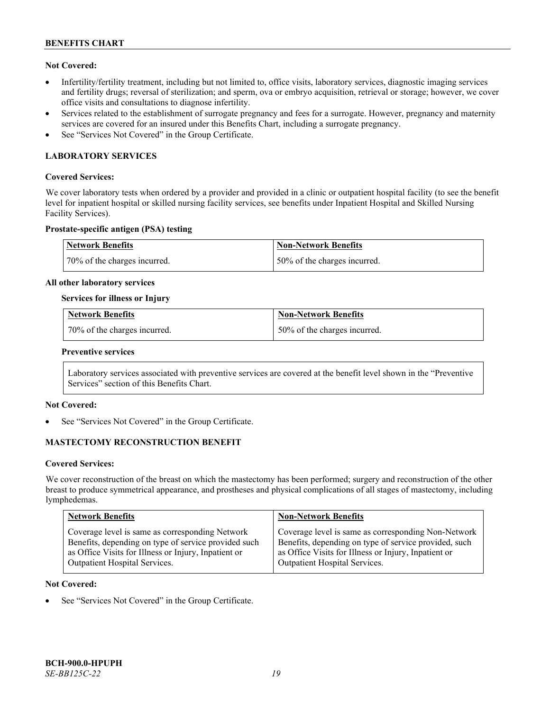# **Not Covered:**

- Infertility/fertility treatment, including but not limited to, office visits, laboratory services, diagnostic imaging services and fertility drugs; reversal of sterilization; and sperm, ova or embryo acquisition, retrieval or storage; however, we cover office visits and consultations to diagnose infertility.
- Services related to the establishment of surrogate pregnancy and fees for a surrogate. However, pregnancy and maternity services are covered for an insured under this Benefits Chart, including a surrogate pregnancy.
- See "Services Not Covered" in the Group Certificate.

# **LABORATORY SERVICES**

### **Covered Services:**

We cover laboratory tests when ordered by a provider and provided in a clinic or outpatient hospital facility (to see the benefit level for inpatient hospital or skilled nursing facility services, see benefits under Inpatient Hospital and Skilled Nursing Facility Services).

# **Prostate-specific antigen (PSA) testing**

| <b>Network Benefits</b>      | Non-Network Benefits          |
|------------------------------|-------------------------------|
| 70% of the charges incurred. | 150% of the charges incurred. |

#### **All other laboratory services**

#### **Services for illness or Injury**

| <b>Network Benefits</b>        | <b>Non-Network Benefits</b>  |
|--------------------------------|------------------------------|
| 1 70% of the charges incurred. | 50% of the charges incurred. |

#### **Preventive services**

Laboratory services associated with preventive services are covered at the benefit level shown in the "Preventive Services" section of this Benefits Chart.

# **Not Covered:**

See "Services Not Covered" in the Group Certificate.

# **MASTECTOMY RECONSTRUCTION BENEFIT**

#### **Covered Services:**

We cover reconstruction of the breast on which the mastectomy has been performed; surgery and reconstruction of the other breast to produce symmetrical appearance, and prostheses and physical complications of all stages of mastectomy, including lymphedemas.

| <b>Network Benefits</b>                              | <b>Non-Network Benefits</b>                           |
|------------------------------------------------------|-------------------------------------------------------|
| Coverage level is same as corresponding Network      | Coverage level is same as corresponding Non-Network   |
| Benefits, depending on type of service provided such | Benefits, depending on type of service provided, such |
| as Office Visits for Illness or Injury, Inpatient or | as Office Visits for Illness or Injury, Inpatient or  |
| Outpatient Hospital Services.                        | Outpatient Hospital Services.                         |

#### **Not Covered:**

See "Services Not Covered" in the Group Certificate.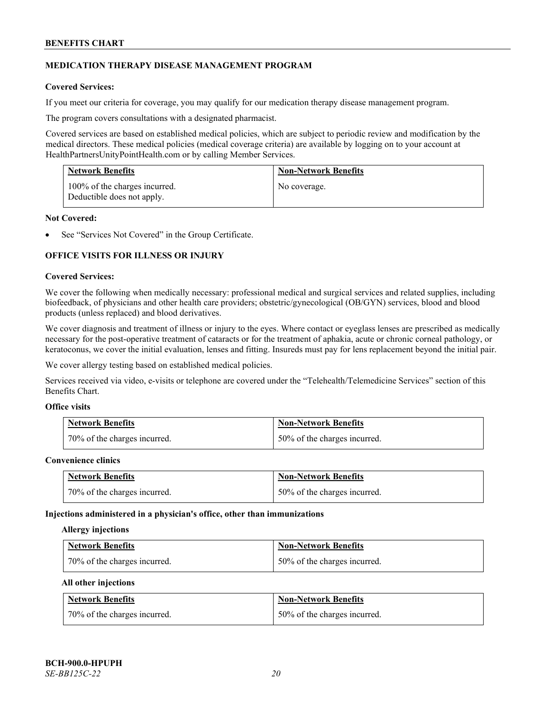# **MEDICATION THERAPY DISEASE MANAGEMENT PROGRAM**

# **Covered Services:**

If you meet our criteria for coverage, you may qualify for our medication therapy disease management program.

The program covers consultations with a designated pharmacist.

Covered services are based on established medical policies, which are subject to periodic review and modification by the medical directors. These medical policies (medical coverage criteria) are available by logging on to your account at [HealthPartnersUnityPointHealth.com](https://www.healthpartnersunitypointhealth.com/) or by calling Member Services.

| <b>Network Benefits</b>                                     | <b>Non-Network Benefits</b> |
|-------------------------------------------------------------|-----------------------------|
| 100% of the charges incurred.<br>Deductible does not apply. | No coverage.                |

#### **Not Covered:**

See "Services Not Covered" in the Group Certificate.

# **OFFICE VISITS FOR ILLNESS OR INJURY**

#### **Covered Services:**

We cover the following when medically necessary: professional medical and surgical services and related supplies, including biofeedback, of physicians and other health care providers; obstetric/gynecological (OB/GYN) services, blood and blood products (unless replaced) and blood derivatives.

We cover diagnosis and treatment of illness or injury to the eyes. Where contact or eyeglass lenses are prescribed as medically necessary for the post-operative treatment of cataracts or for the treatment of aphakia, acute or chronic corneal pathology, or keratoconus, we cover the initial evaluation, lenses and fitting. Insureds must pay for lens replacement beyond the initial pair.

We cover allergy testing based on established medical policies.

Services received via video, e-visits or telephone are covered under the "Telehealth/Telemedicine Services" section of this Benefits Chart.

# **Office visits**

| <b>Network Benefits</b>      | <b>Non-Network Benefits</b>  |
|------------------------------|------------------------------|
| 70% of the charges incurred. | 50% of the charges incurred. |

#### **Convenience clinics**

| <b>Network Benefits</b>      | <b>Non-Network Benefits</b>  |
|------------------------------|------------------------------|
| 70% of the charges incurred. | 50% of the charges incurred. |

#### **Injections administered in a physician's office, other than immunizations**

#### **Allergy injections**

| <b>Network Benefits</b>      | <b>Non-Network Benefits</b>  |
|------------------------------|------------------------------|
| 70% of the charges incurred. | 50% of the charges incurred. |

#### **All other injections**

| <b>Network Benefits</b>      | <b>Non-Network Benefits</b>  |
|------------------------------|------------------------------|
| 70% of the charges incurred. | 50% of the charges incurred. |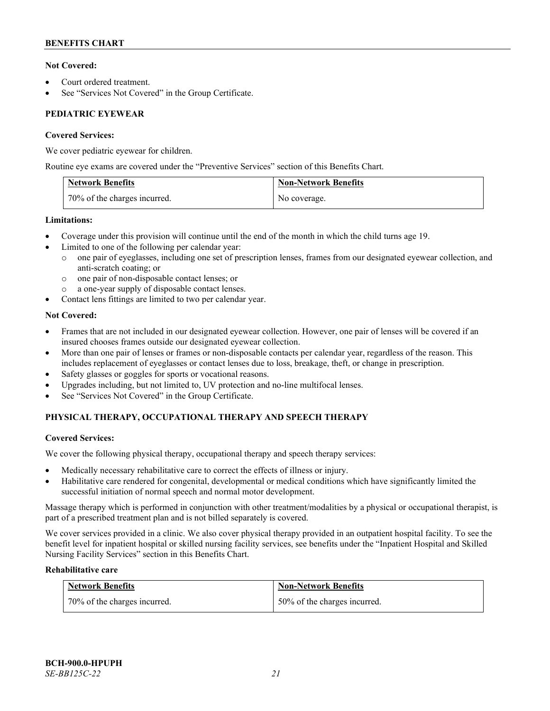# **Not Covered:**

- Court ordered treatment.
- See "Services Not Covered" in the Group Certificate.

# **PEDIATRIC EYEWEAR**

# **Covered Services:**

We cover pediatric eyewear for children.

Routine eye exams are covered under the "Preventive Services" section of this Benefits Chart.

| <b>Network Benefits</b>      | <b>Non-Network Benefits</b> |
|------------------------------|-----------------------------|
| 70% of the charges incurred. | No coverage.                |

# **Limitations:**

- Coverage under this provision will continue until the end of the month in which the child turns age 19.
- Limited to one of the following per calendar year:
	- o one pair of eyeglasses, including one set of prescription lenses, frames from our designated eyewear collection, and anti-scratch coating; or
	- o one pair of non-disposable contact lenses; or
	- a one-year supply of disposable contact lenses.
- Contact lens fittings are limited to two per calendar year.

# **Not Covered:**

- Frames that are not included in our designated eyewear collection. However, one pair of lenses will be covered if an insured chooses frames outside our designated eyewear collection.
- More than one pair of lenses or frames or non-disposable contacts per calendar year, regardless of the reason. This includes replacement of eyeglasses or contact lenses due to loss, breakage, theft, or change in prescription.
- Safety glasses or goggles for sports or vocational reasons.
- Upgrades including, but not limited to, UV protection and no-line multifocal lenses.
- See "Services Not Covered" in the Group Certificate.

# **PHYSICAL THERAPY, OCCUPATIONAL THERAPY AND SPEECH THERAPY**

# **Covered Services:**

We cover the following physical therapy, occupational therapy and speech therapy services:

- Medically necessary rehabilitative care to correct the effects of illness or injury.
- Habilitative care rendered for congenital, developmental or medical conditions which have significantly limited the successful initiation of normal speech and normal motor development.

Massage therapy which is performed in conjunction with other treatment/modalities by a physical or occupational therapist, is part of a prescribed treatment plan and is not billed separately is covered.

We cover services provided in a clinic. We also cover physical therapy provided in an outpatient hospital facility. To see the benefit level for inpatient hospital or skilled nursing facility services, see benefits under the "Inpatient Hospital and Skilled Nursing Facility Services" section in this Benefits Chart.

# **Rehabilitative care**

| <b>Network Benefits</b>      | <b>Non-Network Benefits</b>  |
|------------------------------|------------------------------|
| 70% of the charges incurred. | 50% of the charges incurred. |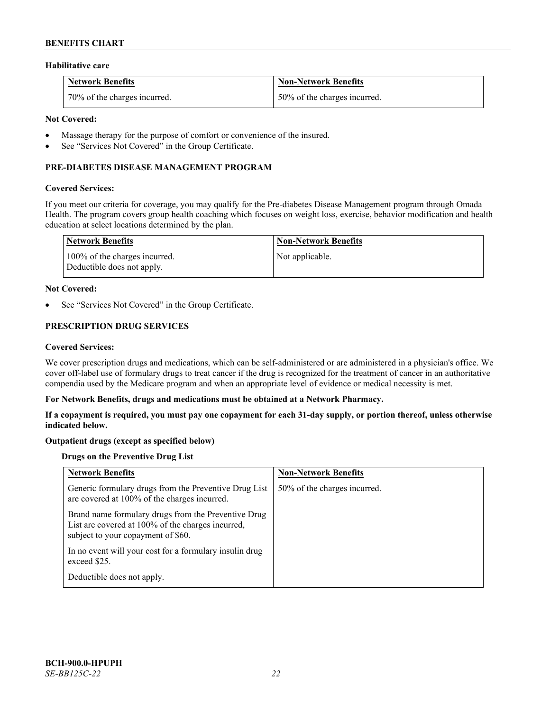### **Habilitative care**

| <b>Network Benefits</b>      | <b>Non-Network Benefits</b>  |
|------------------------------|------------------------------|
| 70% of the charges incurred. | 50% of the charges incurred. |

### **Not Covered:**

- Massage therapy for the purpose of comfort or convenience of the insured.
- See "Services Not Covered" in the Group Certificate.

# **PRE-DIABETES DISEASE MANAGEMENT PROGRAM**

#### **Covered Services:**

If you meet our criteria for coverage, you may qualify for the Pre-diabetes Disease Management program through Omada Health. The program covers group health coaching which focuses on weight loss, exercise, behavior modification and health education at select locations determined by the plan.

| Network Benefits                                            | <b>Non-Network Benefits</b> |
|-------------------------------------------------------------|-----------------------------|
| 100% of the charges incurred.<br>Deductible does not apply. | Not applicable.             |

#### **Not Covered:**

See "Services Not Covered" in the Group Certificate.

# **PRESCRIPTION DRUG SERVICES**

#### **Covered Services:**

We cover prescription drugs and medications, which can be self-administered or are administered in a physician's office. We cover off-label use of formulary drugs to treat cancer if the drug is recognized for the treatment of cancer in an authoritative compendia used by the Medicare program and when an appropriate level of evidence or medical necessity is met.

#### **For Network Benefits, drugs and medications must be obtained at a Network Pharmacy.**

**If a copayment is required, you must pay one copayment for each 31-day supply, or portion thereof, unless otherwise indicated below.**

# **Outpatient drugs (except as specified below)**

# **Drugs on the Preventive Drug List**

| <b>Network Benefits</b>                                                                                                                        | <b>Non-Network Benefits</b>  |
|------------------------------------------------------------------------------------------------------------------------------------------------|------------------------------|
| Generic formulary drugs from the Preventive Drug List<br>are covered at 100% of the charges incurred.                                          | 50% of the charges incurred. |
| Brand name formulary drugs from the Preventive Drug<br>List are covered at 100% of the charges incurred,<br>subject to your copayment of \$60. |                              |
| In no event will your cost for a formulary insulin drug<br>exceed \$25.                                                                        |                              |
| Deductible does not apply.                                                                                                                     |                              |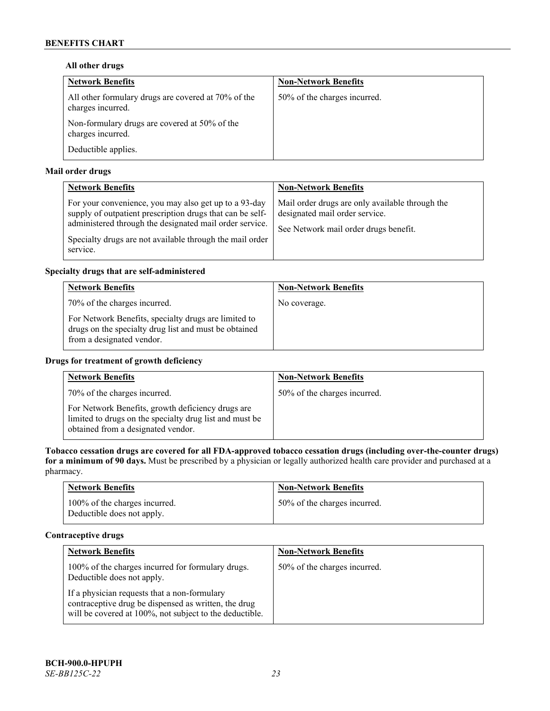# **All other drugs**

| <b>Network Benefits</b>                                                  | <b>Non-Network Benefits</b>  |
|--------------------------------------------------------------------------|------------------------------|
| All other formulary drugs are covered at 70% of the<br>charges incurred. | 50% of the charges incurred. |
| Non-formulary drugs are covered at 50% of the<br>charges incurred.       |                              |
| Deductible applies.                                                      |                              |

# **Mail order drugs**

| <b>Network Benefits</b>                                                                                                                                                                                                                               | <b>Non-Network Benefits</b>                                                                                                |
|-------------------------------------------------------------------------------------------------------------------------------------------------------------------------------------------------------------------------------------------------------|----------------------------------------------------------------------------------------------------------------------------|
| For your convenience, you may also get up to a 93-day<br>supply of outpatient prescription drugs that can be self-<br>administered through the designated mail order service.<br>Specialty drugs are not available through the mail order<br>service. | Mail order drugs are only available through the<br>designated mail order service.<br>See Network mail order drugs benefit. |

# **Specialty drugs that are self-administered**

| <b>Network Benefits</b>                                                                                                                    | <b>Non-Network Benefits</b> |
|--------------------------------------------------------------------------------------------------------------------------------------------|-----------------------------|
| 70% of the charges incurred.                                                                                                               | No coverage.                |
| For Network Benefits, specialty drugs are limited to<br>drugs on the specialty drug list and must be obtained<br>from a designated vendor. |                             |

# **Drugs for treatment of growth deficiency**

| <b>Network Benefits</b>                                                                                                                            | <b>Non-Network Benefits</b>  |
|----------------------------------------------------------------------------------------------------------------------------------------------------|------------------------------|
| 70% of the charges incurred.                                                                                                                       | 50% of the charges incurred. |
| For Network Benefits, growth deficiency drugs are<br>limited to drugs on the specialty drug list and must be<br>obtained from a designated vendor. |                              |

**Tobacco cessation drugs are covered for all FDA-approved tobacco cessation drugs (including over-the-counter drugs) for a minimum of 90 days.** Must be prescribed by a physician or legally authorized health care provider and purchased at a pharmacy.

| <b>Network Benefits</b>                                     | <b>Non-Network Benefits</b>  |
|-------------------------------------------------------------|------------------------------|
| 100% of the charges incurred.<br>Deductible does not apply. | 50% of the charges incurred. |

# **Contraceptive drugs**

| <b>Network Benefits</b>                                                                                                                                         | <b>Non-Network Benefits</b>  |
|-----------------------------------------------------------------------------------------------------------------------------------------------------------------|------------------------------|
| 100% of the charges incurred for formulary drugs.<br>Deductible does not apply.                                                                                 | 50% of the charges incurred. |
| If a physician requests that a non-formulary<br>contraceptive drug be dispensed as written, the drug<br>will be covered at 100%, not subject to the deductible. |                              |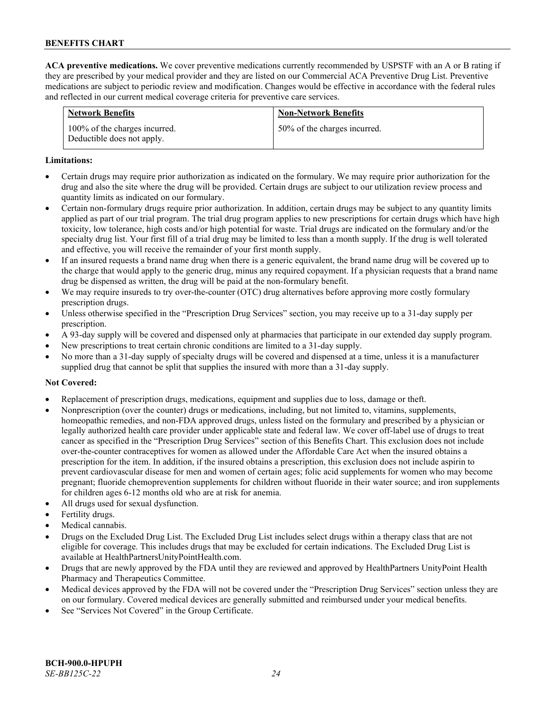**ACA preventive medications.** We cover preventive medications currently recommended by USPSTF with an A or B rating if they are prescribed by your medical provider and they are listed on our Commercial ACA Preventive Drug List. Preventive medications are subject to periodic review and modification. Changes would be effective in accordance with the federal rules and reflected in our current medical coverage criteria for preventive care services.

| <b>Network Benefits</b>                                     | <b>Non-Network Benefits</b>  |
|-------------------------------------------------------------|------------------------------|
| 100% of the charges incurred.<br>Deductible does not apply. | 50% of the charges incurred. |

#### **Limitations:**

- Certain drugs may require prior authorization as indicated on the formulary. We may require prior authorization for the drug and also the site where the drug will be provided. Certain drugs are subject to our utilization review process and quantity limits as indicated on our formulary.
- Certain non-formulary drugs require prior authorization. In addition, certain drugs may be subject to any quantity limits applied as part of our trial program. The trial drug program applies to new prescriptions for certain drugs which have high toxicity, low tolerance, high costs and/or high potential for waste. Trial drugs are indicated on the formulary and/or the specialty drug list. Your first fill of a trial drug may be limited to less than a month supply. If the drug is well tolerated and effective, you will receive the remainder of your first month supply.
- If an insured requests a brand name drug when there is a generic equivalent, the brand name drug will be covered up to the charge that would apply to the generic drug, minus any required copayment. If a physician requests that a brand name drug be dispensed as written, the drug will be paid at the non-formulary benefit.
- We may require insureds to try over-the-counter (OTC) drug alternatives before approving more costly formulary prescription drugs.
- Unless otherwise specified in the "Prescription Drug Services" section, you may receive up to a 31-day supply per prescription.
- A 93-day supply will be covered and dispensed only at pharmacies that participate in our extended day supply program.
- New prescriptions to treat certain chronic conditions are limited to a 31-day supply.
- No more than a 31-day supply of specialty drugs will be covered and dispensed at a time, unless it is a manufacturer supplied drug that cannot be split that supplies the insured with more than a 31-day supply.

# **Not Covered:**

- Replacement of prescription drugs, medications, equipment and supplies due to loss, damage or theft.
- Nonprescription (over the counter) drugs or medications, including, but not limited to, vitamins, supplements, homeopathic remedies, and non-FDA approved drugs, unless listed on the formulary and prescribed by a physician or legally authorized health care provider under applicable state and federal law. We cover off-label use of drugs to treat cancer as specified in the "Prescription Drug Services" section of this Benefits Chart. This exclusion does not include over-the-counter contraceptives for women as allowed under the Affordable Care Act when the insured obtains a prescription for the item. In addition, if the insured obtains a prescription, this exclusion does not include aspirin to prevent cardiovascular disease for men and women of certain ages; folic acid supplements for women who may become pregnant; fluoride chemoprevention supplements for children without fluoride in their water source; and iron supplements for children ages 6-12 months old who are at risk for anemia.
- All drugs used for sexual dysfunction.
- Fertility drugs.
- Medical cannabis.
- Drugs on the Excluded Drug List. The Excluded Drug List includes select drugs within a therapy class that are not eligible for coverage. This includes drugs that may be excluded for certain indications. The Excluded Drug List is available a[t HealthPartnersUnityPointHealth.com.](https://www.healthpartnersunitypointhealth.com/)
- Drugs that are newly approved by the FDA until they are reviewed and approved by HealthPartners UnityPoint Health Pharmacy and Therapeutics Committee.
- Medical devices approved by the FDA will not be covered under the "Prescription Drug Services" section unless they are on our formulary. Covered medical devices are generally submitted and reimbursed under your medical benefits.
- See "Services Not Covered" in the Group Certificate.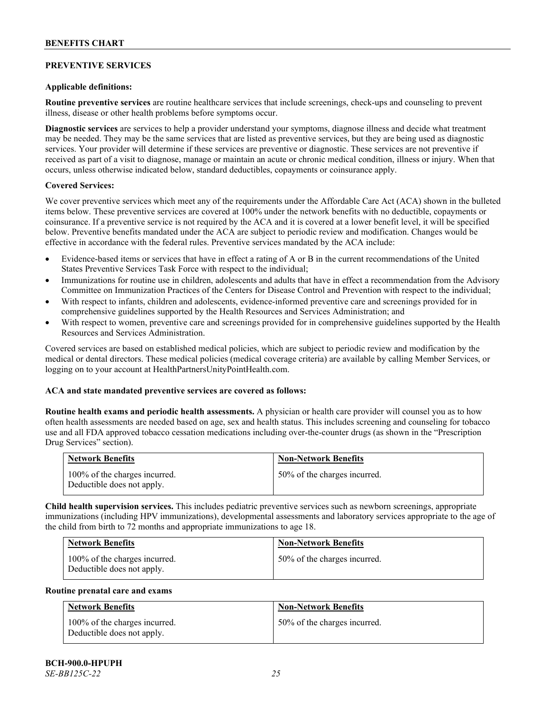# **PREVENTIVE SERVICES**

### **Applicable definitions:**

**Routine preventive services** are routine healthcare services that include screenings, check-ups and counseling to prevent illness, disease or other health problems before symptoms occur.

**Diagnostic services** are services to help a provider understand your symptoms, diagnose illness and decide what treatment may be needed. They may be the same services that are listed as preventive services, but they are being used as diagnostic services. Your provider will determine if these services are preventive or diagnostic. These services are not preventive if received as part of a visit to diagnose, manage or maintain an acute or chronic medical condition, illness or injury. When that occurs, unless otherwise indicated below, standard deductibles, copayments or coinsurance apply.

#### **Covered Services:**

We cover preventive services which meet any of the requirements under the Affordable Care Act (ACA) shown in the bulleted items below. These preventive services are covered at 100% under the network benefits with no deductible, copayments or coinsurance. If a preventive service is not required by the ACA and it is covered at a lower benefit level, it will be specified below. Preventive benefits mandated under the ACA are subject to periodic review and modification. Changes would be effective in accordance with the federal rules. Preventive services mandated by the ACA include:

- Evidence-based items or services that have in effect a rating of A or B in the current recommendations of the United States Preventive Services Task Force with respect to the individual;
- Immunizations for routine use in children, adolescents and adults that have in effect a recommendation from the Advisory Committee on Immunization Practices of the Centers for Disease Control and Prevention with respect to the individual;
- With respect to infants, children and adolescents, evidence-informed preventive care and screenings provided for in comprehensive guidelines supported by the Health Resources and Services Administration; and
- With respect to women, preventive care and screenings provided for in comprehensive guidelines supported by the Health Resources and Services Administration.

Covered services are based on established medical policies, which are subject to periodic review and modification by the medical or dental directors. These medical policies (medical coverage criteria) are available by calling Member Services, or logging on to your account at [HealthPartnersUnityPointHealth.com.](https://www.healthpartnersunitypointhealth.com/)

# **ACA and state mandated preventive services are covered as follows:**

**Routine health exams and periodic health assessments.** A physician or health care provider will counsel you as to how often health assessments are needed based on age, sex and health status. This includes screening and counseling for tobacco use and all FDA approved tobacco cessation medications including over-the-counter drugs (as shown in the "Prescription Drug Services" section).

| <b>Network Benefits</b>                                     | <b>Non-Network Benefits</b>  |
|-------------------------------------------------------------|------------------------------|
| 100% of the charges incurred.<br>Deductible does not apply. | 50% of the charges incurred. |

**Child health supervision services.** This includes pediatric preventive services such as newborn screenings, appropriate immunizations (including HPV immunizations), developmental assessments and laboratory services appropriate to the age of the child from birth to 72 months and appropriate immunizations to age 18.

| <b>Network Benefits</b>                                     | <b>Non-Network Benefits</b>  |
|-------------------------------------------------------------|------------------------------|
| 100% of the charges incurred.<br>Deductible does not apply. | 50% of the charges incurred. |

#### **Routine prenatal care and exams**

| <b>Network Benefits</b>                                     | <b>Non-Network Benefits</b>  |
|-------------------------------------------------------------|------------------------------|
| 100% of the charges incurred.<br>Deductible does not apply. | 50% of the charges incurred. |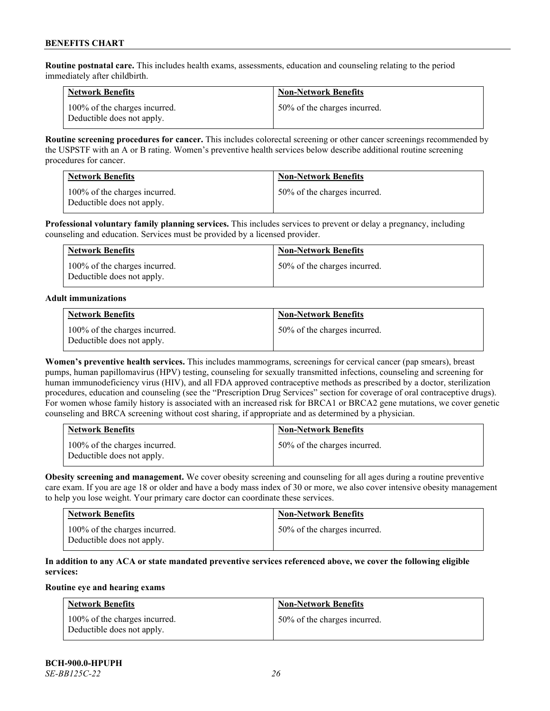**Routine postnatal care.** This includes health exams, assessments, education and counseling relating to the period immediately after childbirth.

| <b>Network Benefits</b>                                     | <b>Non-Network Benefits</b>  |
|-------------------------------------------------------------|------------------------------|
| 100% of the charges incurred.<br>Deductible does not apply. | 50% of the charges incurred. |

**Routine screening procedures for cancer.** This includes colorectal screening or other cancer screenings recommended by the USPSTF with an A or B rating. Women's preventive health services below describe additional routine screening procedures for cancer.

| <b>Network Benefits</b>                                     | <b>Non-Network Benefits</b>  |
|-------------------------------------------------------------|------------------------------|
| 100% of the charges incurred.<br>Deductible does not apply. | 50% of the charges incurred. |

**Professional voluntary family planning services.** This includes services to prevent or delay a pregnancy, including counseling and education. Services must be provided by a licensed provider.

| <b>Network Benefits</b>                                     | <b>Non-Network Benefits</b>  |
|-------------------------------------------------------------|------------------------------|
| 100% of the charges incurred.<br>Deductible does not apply. | 50% of the charges incurred. |

#### **Adult immunizations**

| <b>Network Benefits</b>                                     | <b>Non-Network Benefits</b>  |
|-------------------------------------------------------------|------------------------------|
| 100% of the charges incurred.<br>Deductible does not apply. | 50% of the charges incurred. |

**Women's preventive health services.** This includes mammograms, screenings for cervical cancer (pap smears), breast pumps, human papillomavirus (HPV) testing, counseling for sexually transmitted infections, counseling and screening for human immunodeficiency virus (HIV), and all FDA approved contraceptive methods as prescribed by a doctor, sterilization procedures, education and counseling (see the "Prescription Drug Services" section for coverage of oral contraceptive drugs). For women whose family history is associated with an increased risk for BRCA1 or BRCA2 gene mutations, we cover genetic counseling and BRCA screening without cost sharing, if appropriate and as determined by a physician.

| <b>Network Benefits</b>                                     | <b>Non-Network Benefits</b>  |
|-------------------------------------------------------------|------------------------------|
| 100% of the charges incurred.<br>Deductible does not apply. | 50% of the charges incurred. |

**Obesity screening and management.** We cover obesity screening and counseling for all ages during a routine preventive care exam. If you are age 18 or older and have a body mass index of 30 or more, we also cover intensive obesity management to help you lose weight. Your primary care doctor can coordinate these services.

| <b>Network Benefits</b>                                     | <b>Non-Network Benefits</b>  |
|-------------------------------------------------------------|------------------------------|
| 100% of the charges incurred.<br>Deductible does not apply. | 50% of the charges incurred. |

# **In addition to any ACA or state mandated preventive services referenced above, we cover the following eligible services:**

# **Routine eye and hearing exams**

| <b>Network Benefits</b>                                     | <b>Non-Network Benefits</b>  |
|-------------------------------------------------------------|------------------------------|
| 100% of the charges incurred.<br>Deductible does not apply. | 50% of the charges incurred. |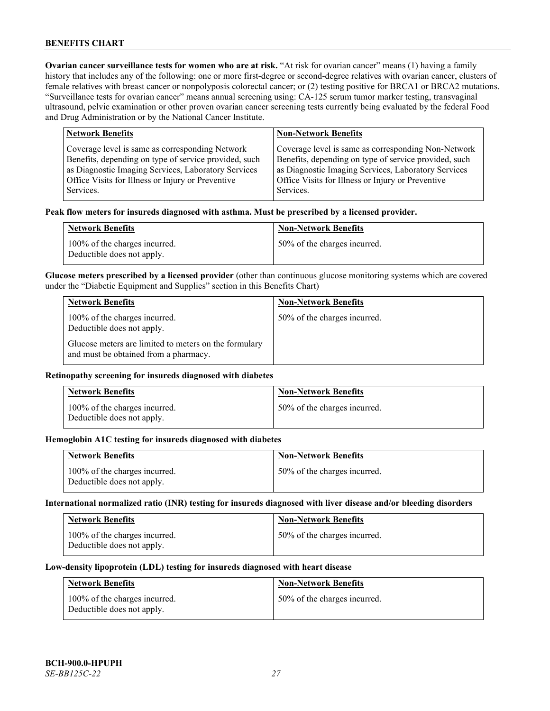**Ovarian cancer surveillance tests for women who are at risk. "At risk for ovarian cancer" means (1) having a family** history that includes any of the following: one or more first-degree or second-degree relatives with ovarian cancer, clusters of female relatives with breast cancer or nonpolyposis colorectal cancer; or (2) testing positive for BRCA1 or BRCA2 mutations. "Surveillance tests for ovarian cancer" means annual screening using: CA-125 serum tumor marker testing, transvaginal ultrasound, pelvic examination or other proven ovarian cancer screening tests currently being evaluated by the federal Food and Drug Administration or by the National Cancer Institute.

| <b>Network Benefits</b>                               | <b>Non-Network Benefits</b>                           |
|-------------------------------------------------------|-------------------------------------------------------|
| Coverage level is same as corresponding Network       | Coverage level is same as corresponding Non-Network   |
| Benefits, depending on type of service provided, such | Benefits, depending on type of service provided, such |
| as Diagnostic Imaging Services, Laboratory Services   | as Diagnostic Imaging Services, Laboratory Services   |
| Office Visits for Illness or Injury or Preventive     | Office Visits for Illness or Injury or Preventive     |
| Services.                                             | Services.                                             |

#### **Peak flow meters for insureds diagnosed with asthma. Must be prescribed by a licensed provider.**

| <b>Network Benefits</b>                                     | <b>Non-Network Benefits</b>  |
|-------------------------------------------------------------|------------------------------|
| 100% of the charges incurred.<br>Deductible does not apply. | 50% of the charges incurred. |

**Glucose meters prescribed by a licensed provider** (other than continuous glucose monitoring systems which are covered under the "Diabetic Equipment and Supplies" section in this Benefits Chart)

| <b>Network Benefits</b>                                                                        | <b>Non-Network Benefits</b>  |
|------------------------------------------------------------------------------------------------|------------------------------|
| 100% of the charges incurred.<br>Deductible does not apply.                                    | 50% of the charges incurred. |
| Glucose meters are limited to meters on the formulary<br>and must be obtained from a pharmacy. |                              |

### **Retinopathy screening for insureds diagnosed with diabetes**

| <b>Network Benefits</b>                                     | <b>Non-Network Benefits</b>  |
|-------------------------------------------------------------|------------------------------|
| 100% of the charges incurred.<br>Deductible does not apply. | 50% of the charges incurred. |

#### **Hemoglobin A1C testing for insureds diagnosed with diabetes**

| <b>Network Benefits</b>                                     | <b>Non-Network Benefits</b>  |
|-------------------------------------------------------------|------------------------------|
| 100% of the charges incurred.<br>Deductible does not apply. | 50% of the charges incurred. |

## **International normalized ratio (INR) testing for insureds diagnosed with liver disease and/or bleeding disorders**

| <b>Network Benefits</b>                                     | <b>Non-Network Benefits</b>  |
|-------------------------------------------------------------|------------------------------|
| 100% of the charges incurred.<br>Deductible does not apply. | 50% of the charges incurred. |

#### **Low-density lipoprotein (LDL) testing for insureds diagnosed with heart disease**

| <b>Network Benefits</b>                                     | <b>Non-Network Benefits</b>  |
|-------------------------------------------------------------|------------------------------|
| 100% of the charges incurred.<br>Deductible does not apply. | 50% of the charges incurred. |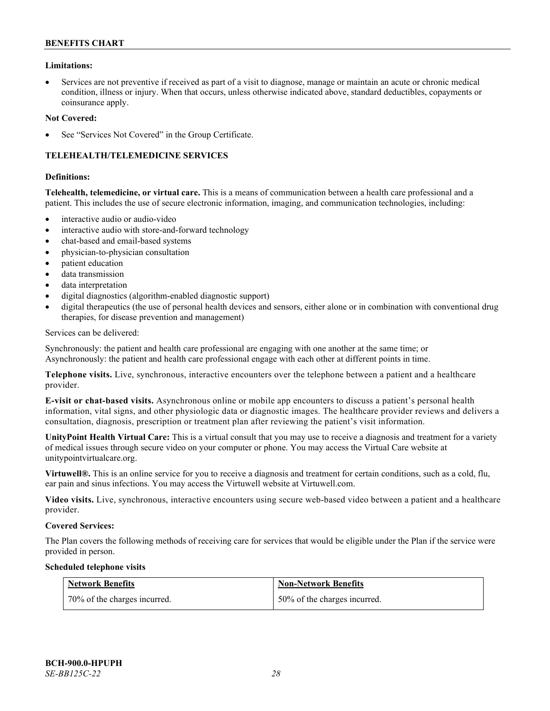### **Limitations:**

• Services are not preventive if received as part of a visit to diagnose, manage or maintain an acute or chronic medical condition, illness or injury. When that occurs, unless otherwise indicated above, standard deductibles, copayments or coinsurance apply.

#### **Not Covered:**

See "Services Not Covered" in the Group Certificate.

# **TELEHEALTH/TELEMEDICINE SERVICES**

#### **Definitions:**

**Telehealth, telemedicine, or virtual care.** This is a means of communication between a health care professional and a patient. This includes the use of secure electronic information, imaging, and communication technologies, including:

- interactive audio or audio-video
- interactive audio with store-and-forward technology
- chat-based and email-based systems
- physician-to-physician consultation
- patient education
- data transmission
- data interpretation
- digital diagnostics (algorithm-enabled diagnostic support)
- digital therapeutics (the use of personal health devices and sensors, either alone or in combination with conventional drug therapies, for disease prevention and management)

Services can be delivered:

Synchronously: the patient and health care professional are engaging with one another at the same time; or Asynchronously: the patient and health care professional engage with each other at different points in time.

**Telephone visits.** Live, synchronous, interactive encounters over the telephone between a patient and a healthcare provider.

**E-visit or chat-based visits.** Asynchronous online or mobile app encounters to discuss a patient's personal health information, vital signs, and other physiologic data or diagnostic images. The healthcare provider reviews and delivers a consultation, diagnosis, prescription or treatment plan after reviewing the patient's visit information.

**UnityPoint Health Virtual Care:** This is a virtual consult that you may use to receive a diagnosis and treatment for a variety of medical issues through secure video on your computer or phone. You may access the Virtual Care website at [unitypointvirtualcare.org.](https://unitypointvirtualcare.org/landing.htm)

**Virtuwell®.** This is an online service for you to receive a diagnosis and treatment for certain conditions, such as a cold, flu, ear pain and sinus infections. You may access the Virtuwell website at [Virtuwell.com.](https://www.virtuwell.com/)

**Video visits.** Live, synchronous, interactive encounters using secure web-based video between a patient and a healthcare provider.

#### **Covered Services:**

The Plan covers the following methods of receiving care for services that would be eligible under the Plan if the service were provided in person.

#### **Scheduled telephone visits**

| Network Benefits             | <b>Non-Network Benefits</b>  |
|------------------------------|------------------------------|
| 70% of the charges incurred. | 50% of the charges incurred. |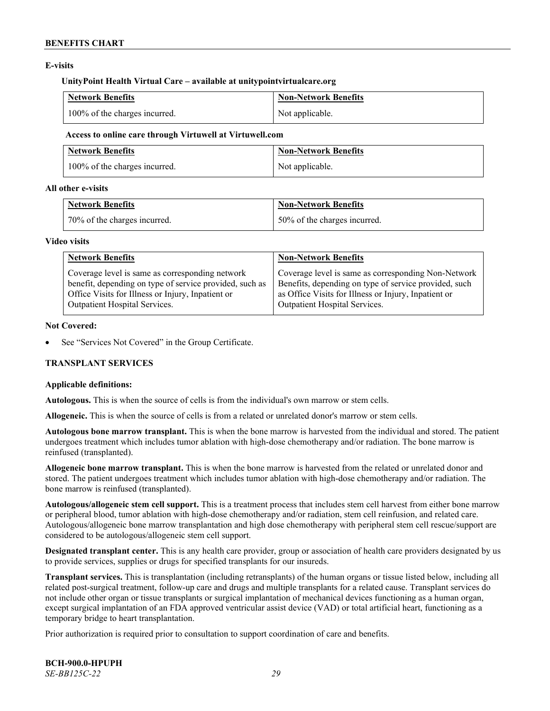### **E-visits**

#### **UnityPoint Health Virtual Care – available at [unitypointvirtualcare.org](http://www.unitypointvirtualcare.org/)**

| <b>Network Benefits</b>       | <b>Non-Network Benefits</b> |
|-------------------------------|-----------------------------|
| 100% of the charges incurred. | Not applicable.             |

#### **Access to online care through Virtuwell at [Virtuwell.com](http://www.virtuwell.com/)**

| <b>Network Benefits</b>       | Non-Network Benefits |
|-------------------------------|----------------------|
| 100% of the charges incurred. | Not applicable.      |

### **All other e-visits**

| <b>Network Benefits</b>      | <b>Non-Network Benefits</b>  |
|------------------------------|------------------------------|
| 70% of the charges incurred. | 50% of the charges incurred. |

#### **Video visits**

| <b>Network Benefits</b>                                 | <b>Non-Network Benefits</b>                           |
|---------------------------------------------------------|-------------------------------------------------------|
| Coverage level is same as corresponding network         | Coverage level is same as corresponding Non-Network   |
| benefit, depending on type of service provided, such as | Benefits, depending on type of service provided, such |
| Office Visits for Illness or Injury, Inpatient or       | as Office Visits for Illness or Injury, Inpatient or  |
| Outpatient Hospital Services.                           | Outpatient Hospital Services.                         |

#### **Not Covered:**

See "Services Not Covered" in the Group Certificate.

# **TRANSPLANT SERVICES**

# **Applicable definitions:**

**Autologous.** This is when the source of cells is from the individual's own marrow or stem cells.

**Allogeneic.** This is when the source of cells is from a related or unrelated donor's marrow or stem cells.

**Autologous bone marrow transplant.** This is when the bone marrow is harvested from the individual and stored. The patient undergoes treatment which includes tumor ablation with high-dose chemotherapy and/or radiation. The bone marrow is reinfused (transplanted).

**Allogeneic bone marrow transplant.** This is when the bone marrow is harvested from the related or unrelated donor and stored. The patient undergoes treatment which includes tumor ablation with high-dose chemotherapy and/or radiation. The bone marrow is reinfused (transplanted).

**Autologous/allogeneic stem cell support.** This is a treatment process that includes stem cell harvest from either bone marrow or peripheral blood, tumor ablation with high-dose chemotherapy and/or radiation, stem cell reinfusion, and related care. Autologous/allogeneic bone marrow transplantation and high dose chemotherapy with peripheral stem cell rescue/support are considered to be autologous/allogeneic stem cell support.

**Designated transplant center.** This is any health care provider, group or association of health care providers designated by us to provide services, supplies or drugs for specified transplants for our insureds.

**Transplant services.** This is transplantation (including retransplants) of the human organs or tissue listed below, including all related post-surgical treatment, follow-up care and drugs and multiple transplants for a related cause. Transplant services do not include other organ or tissue transplants or surgical implantation of mechanical devices functioning as a human organ, except surgical implantation of an FDA approved ventricular assist device (VAD) or total artificial heart, functioning as a temporary bridge to heart transplantation.

Prior authorization is required prior to consultation to support coordination of care and benefits.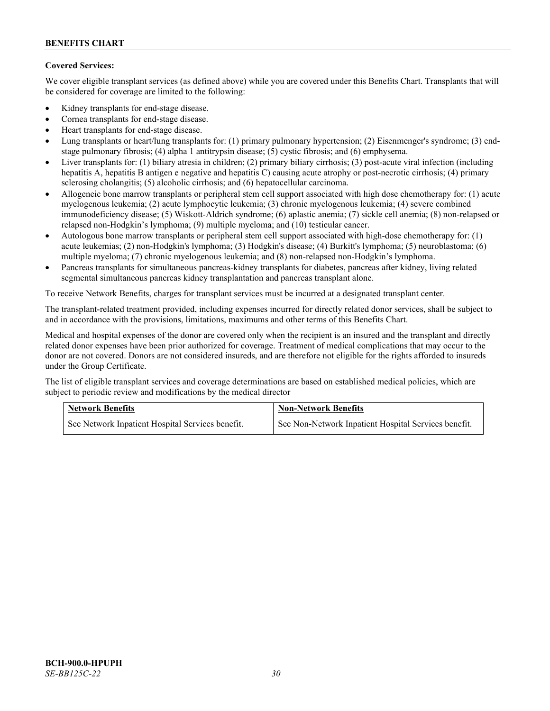# **Covered Services:**

We cover eligible transplant services (as defined above) while you are covered under this Benefits Chart. Transplants that will be considered for coverage are limited to the following:

- Kidney transplants for end-stage disease.
- Cornea transplants for end-stage disease.
- Heart transplants for end-stage disease.
- Lung transplants or heart/lung transplants for: (1) primary pulmonary hypertension; (2) Eisenmenger's syndrome; (3) endstage pulmonary fibrosis; (4) alpha 1 antitrypsin disease; (5) cystic fibrosis; and (6) emphysema.
- Liver transplants for: (1) biliary atresia in children; (2) primary biliary cirrhosis; (3) post-acute viral infection (including hepatitis A, hepatitis B antigen e negative and hepatitis C) causing acute atrophy or post-necrotic cirrhosis; (4) primary sclerosing cholangitis; (5) alcoholic cirrhosis; and (6) hepatocellular carcinoma.
- Allogeneic bone marrow transplants or peripheral stem cell support associated with high dose chemotherapy for: (1) acute myelogenous leukemia; (2) acute lymphocytic leukemia; (3) chronic myelogenous leukemia; (4) severe combined immunodeficiency disease; (5) Wiskott-Aldrich syndrome; (6) aplastic anemia; (7) sickle cell anemia; (8) non-relapsed or relapsed non-Hodgkin's lymphoma; (9) multiple myeloma; and (10) testicular cancer.
- Autologous bone marrow transplants or peripheral stem cell support associated with high-dose chemotherapy for: (1) acute leukemias; (2) non-Hodgkin's lymphoma; (3) Hodgkin's disease; (4) Burkitt's lymphoma; (5) neuroblastoma; (6) multiple myeloma; (7) chronic myelogenous leukemia; and (8) non-relapsed non-Hodgkin's lymphoma.
- Pancreas transplants for simultaneous pancreas-kidney transplants for diabetes, pancreas after kidney, living related segmental simultaneous pancreas kidney transplantation and pancreas transplant alone.

To receive Network Benefits, charges for transplant services must be incurred at a designated transplant center.

The transplant-related treatment provided, including expenses incurred for directly related donor services, shall be subject to and in accordance with the provisions, limitations, maximums and other terms of this Benefits Chart.

Medical and hospital expenses of the donor are covered only when the recipient is an insured and the transplant and directly related donor expenses have been prior authorized for coverage. Treatment of medical complications that may occur to the donor are not covered. Donors are not considered insureds, and are therefore not eligible for the rights afforded to insureds under the Group Certificate.

The list of eligible transplant services and coverage determinations are based on established medical policies, which are subject to periodic review and modifications by the medical director

| <b>Network Benefits</b>                          | <b>Non-Network Benefits</b>                          |  |
|--------------------------------------------------|------------------------------------------------------|--|
| See Network Inpatient Hospital Services benefit. | See Non-Network Inpatient Hospital Services benefit. |  |